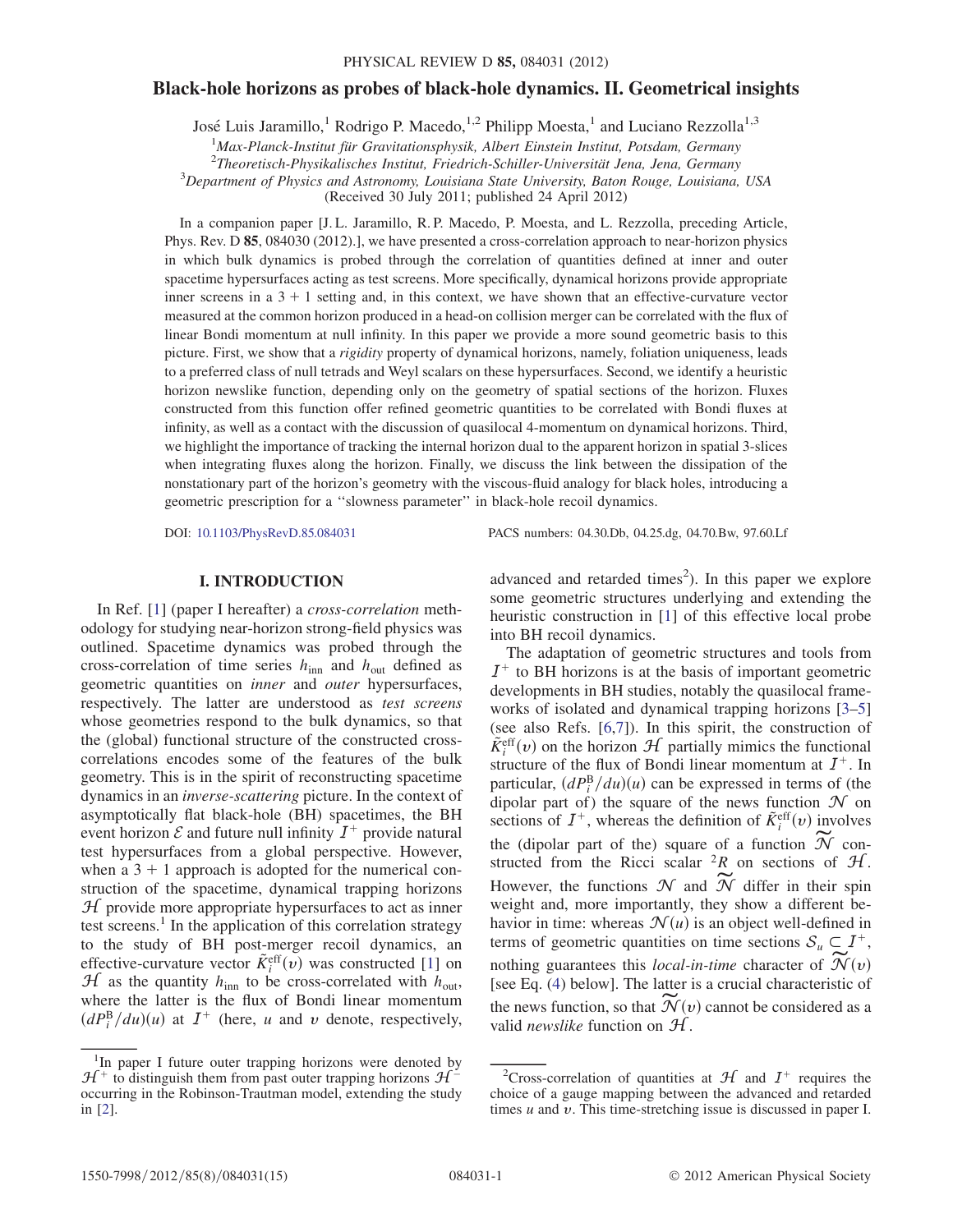# Black-hole horizons as probes of black-hole dynamics. II. Geometrical insights

José Luis Jaramillo,<sup>1</sup> Rodrigo P. Macedo,<sup>1,2</sup> Philipp Moesta,<sup>1</sup> and Luciano Rezzolla<sup>1,3</sup>

<sup>1</sup>Max-Planck-Institut für Gravitationsphysik, Albert Einstein Institut, Potsdam, Germany<br><sup>2</sup>Theoretisch Physikalisches Institut, Friedrich Schiller Universität Iona, Iona, Germany

 $2$ Theoretisch-Physikalisches Institut, Friedrich-Schiller-Universität Jena, Jena, Germany

 $3$ Department of Physics and Astronomy, Louisiana State University, Baton Rouge, Louisiana, USA

(Received 30 July 2011; published 24 April 2012)

In a companion paper [J. L. Jaramillo, R. P. Macedo, P. Moesta, and L. Rezzolla, preceding Article, Phys. Rev. D 85, 084030 (2012).], we have presented a cross-correlation approach to near-horizon physics in which bulk dynamics is probed through the correlation of quantities defined at inner and outer spacetime hypersurfaces acting as test screens. More specifically, dynamical horizons provide appropriate inner screens in a  $3 + 1$  setting and, in this context, we have shown that an effective-curvature vector measured at the common horizon produced in a head-on collision merger can be correlated with the flux of linear Bondi momentum at null infinity. In this paper we provide a more sound geometric basis to this picture. First, we show that a *rigidity* property of dynamical horizons, namely, foliation uniqueness, leads to a preferred class of null tetrads and Weyl scalars on these hypersurfaces. Second, we identify a heuristic horizon newslike function, depending only on the geometry of spatial sections of the horizon. Fluxes constructed from this function offer refined geometric quantities to be correlated with Bondi fluxes at infinity, as well as a contact with the discussion of quasilocal 4-momentum on dynamical horizons. Third, we highlight the importance of tracking the internal horizon dual to the apparent horizon in spatial 3-slices when integrating fluxes along the horizon. Finally, we discuss the link between the dissipation of the nonstationary part of the horizon's geometry with the viscous-fluid analogy for black holes, introducing a geometric prescription for a ''slowness parameter'' in black-hole recoil dynamics.

DOI: [10.1103/PhysRevD.85.084031](http://dx.doi.org/10.1103/PhysRevD.85.084031) PACS numbers: 04.30.Db, 04.25.dg, 04.70.Bw, 97.60.Lf

# I. INTRODUCTION

In Ref. [\[1\]](#page-14-0) (paper I hereafter) a cross-correlation methodology for studying near-horizon strong-field physics was outlined. Spacetime dynamics was probed through the cross-correlation of time series  $h_{\text{inn}}$  and  $h_{\text{out}}$  defined as geometric quantities on inner and outer hypersurfaces, respectively. The latter are understood as test screens whose geometries respond to the bulk dynamics, so that the (global) functional structure of the constructed crosscorrelations encodes some of the features of the bulk geometry. This is in the spirit of reconstructing spacetime dynamics in an inverse-scattering picture. In the context of asymptotically flat black-hole (BH) spacetimes, the BH event horizon  $\mathcal E$  and future null infinity  $I^+$  provide natural test hypersurfaces from a global perspective. However, when a  $3 + 1$  approach is adopted for the numerical construction of the spacetime, dynamical trapping horizons  $H$  provide more appropriate hypersurfaces to act as inner test screens.<sup>1</sup> In the application of this correlation strategy to the study of BH post-merger recoil dynamics, an effective-curvature vector  $\tilde{K}^{\text{eff}}_1(v)$  was constructed [\[1](#page-14-0)] on  $H$  as the quantity h to be cross-correlated with h  $H$  as the quantity  $h_{\text{inn}}$  to be cross-correlated with  $h_{\text{out}}$ , where the latter is the flux of Bondi linear momentum  $\left(dP_i^{\rm B}/du\right)(u)$  at  $I^+$  (here, u and v denote, respectively,

advanced and retarded times<sup>2</sup>). In this paper we explore some geometric structures underlying and extending the heuristic construction in [[1\]](#page-14-0) of this effective local probe into BH recoil dynamics.

The adaptation of geometric structures and tools from  $I^+$  to BH horizons is at the basis of important geometric developments in BH studies, notably the quasilocal frameworks of isolated and dynamical trapping horizons [[3](#page-14-1)[–5\]](#page-14-2) (see also Refs. [[6](#page-14-3),[7](#page-14-4)]). In this spirit, the construction of  $\tilde{K}_{i}^{\text{eff}}(v)$  on the horizon  $H$  partially mimics the functional structure of the flux of Bondi linear momentum at  $I^{+}$ . In structure of the flux of Bondi linear momentum at  $I^+$ . In particular,  $(dP_f^B/du)(u)$  can be expressed in terms of (the dinotation  $\mathcal N$  on dinotation  $\mathcal N$  on dipolar part of) the square of the news function  $\mathcal N$  on sections of  $I^+$ , whereas the definition of  $\tilde{K}^{\text{eff}}_i(v)$  involves the (dipolar part of the) square of a function  $\widetilde{\mathcal{N}}$  constructed from the Ricci scalar  ${}^{2}R$  on sections of  $H$ . However, the functions  $\mathcal N$  and  $\mathcal N$  differ in their spin weight and, more importantly, they show a different behavior in time: whereas  $\mathcal{N}(u)$  is an object well-defined in terms of geometric quantities on time sections  $S_u \subset I^+$ , nothing guarantees this local-in-time character of  $\mathcal{N}(v)$ [see Eq. [\(4](#page-2-0)) below]. The latter is a crucial characteristic of the news function, so that  $\overline{\mathcal{N}}(v)$  cannot be considered as a valid newslike function on H.

<sup>&</sup>lt;sup>1</sup>In paper I future outer trapping horizons were denoted by  $\mathcal{H}^+$  to distinguish them from past outer trapping horizons  $\mathcal{H}^$ occurring in the Robinson-Trautman model, extending the study in [[2](#page-14-5)].

<sup>&</sup>lt;sup>2</sup>Cross-correlation of quantities at  $H$  and  $I^+$  requires the choice of a gauge mapping between the advanced and retarded times  $u$  and  $v$ . This time-stretching issue is discussed in paper I.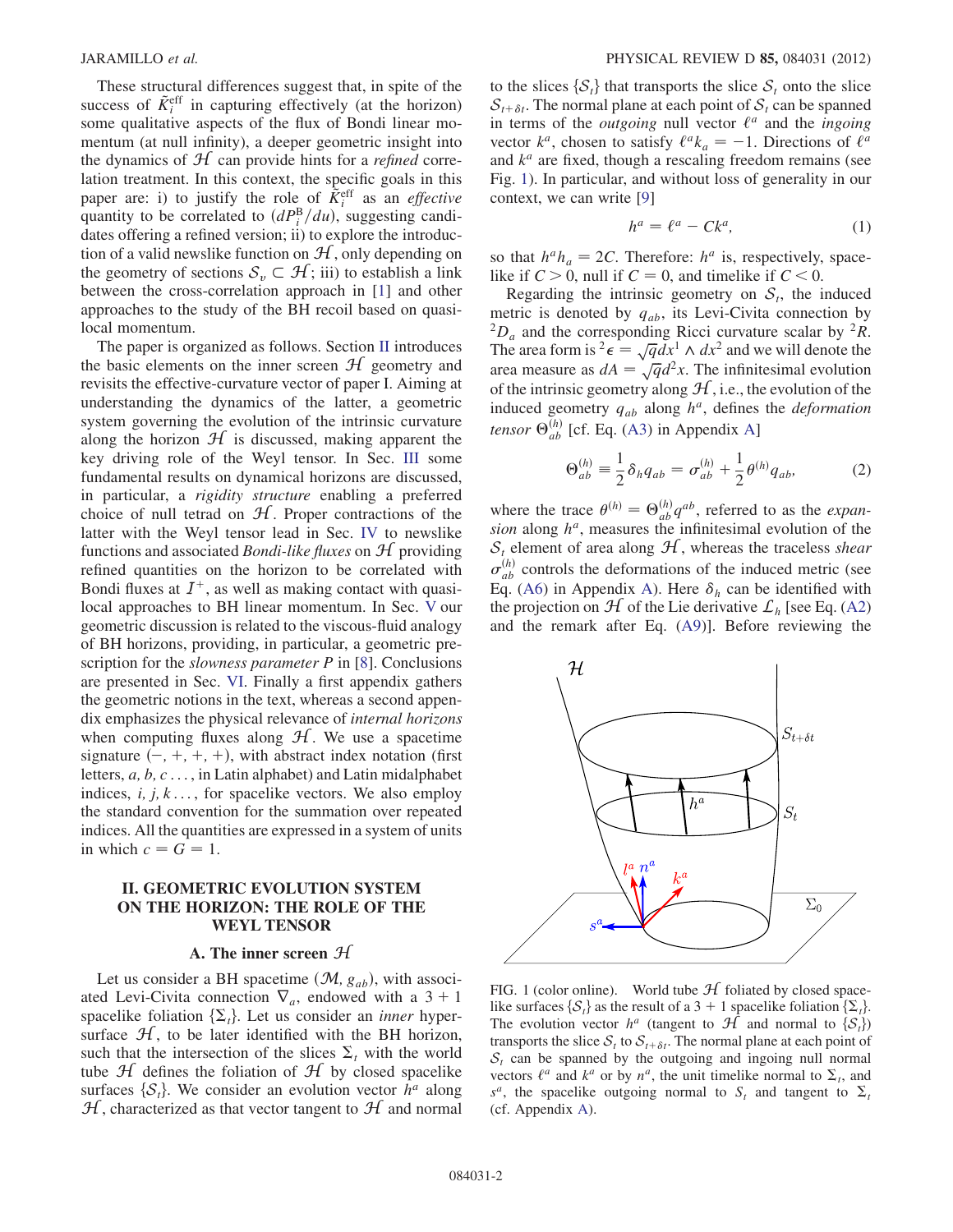These structural differences suggest that, in spite of the success of  $\tilde{K}^{\text{eff}}_i$  in capturing effectively (at the horizon) some qualitative aspects of the flux of Bondi linear momentum (at null infinity), a deeper geometric insight into the dynamics of  $H$  can provide hints for a *refined* correlation treatment. In this context, the specific goals in this paper are: i) to justify the role of  $\tilde{K}_i^{\text{eff}}$  as an *effective* quantity to be correlated to  $(dP_i^B/du)$ , suggesting candi-<br>dates offering a refined version; ii) to explore the introducdates offering a refined version; ii) to explore the introduction of a valid newslike function on  $H$ , only depending on the geometry of sections  $\mathcal{S}_v \subset \mathcal{H}$ ; iii) to establish a link between the cross-correlation approach in [[1\]](#page-14-0) and other approaches to the study of the BH recoil based on quasilocal momentum.

The paper is organized as follows. Section [II](#page-1-0) introduces the basic elements on the inner screen  $H$  geometry and revisits the effective-curvature vector of paper I. Aiming at understanding the dynamics of the latter, a geometric system governing the evolution of the intrinsic curvature along the horizon  $H$  is discussed, making apparent the key driving role of the Weyl tensor. In Sec. [III](#page-4-0) some fundamental results on dynamical horizons are discussed, in particular, a rigidity structure enabling a preferred choice of null tetrad on  $H$ . Proper contractions of the latter with the Weyl tensor lead in Sec. [IV](#page-5-0) to newslike functions and associated *Bondi-like fluxes* on  $H$  providing refined quantities on the horizon to be correlated with Bondi fluxes at  $I^+$ , as well as making contact with quasilocal approaches to BH linear momentum. In Sec. [V](#page-8-0) our geometric discussion is related to the viscous-fluid analogy of BH horizons, providing, in particular, a geometric prescription for the *slowness parameter P* in [\[8\]](#page-14-6). Conclusions are presented in Sec. [VI.](#page-10-0) Finally a first appendix gathers the geometric notions in the text, whereas a second appendix emphasizes the physical relevance of internal horizons when computing fluxes along  $H$ . We use a spacetime signature  $(-, +, +, +)$ , with abstract index notation (first<br>letters a b c in Latin alphabet) and Latin midalphabet letters,  $a, b, c \ldots$ , in Latin alphabet) and Latin midalphabet indices,  $i, j, k, \ldots$ , for spacelike vectors. We also employ the standard convention for the summation over repeated indices. All the quantities are expressed in a system of units in which  $c = G = 1$ .

# <span id="page-1-0"></span>II. GEOMETRIC EVOLUTION SYSTEM ON THE HORIZON: THE ROLE OF THE WEYL TENSOR

#### A. The inner screen  $H$

<span id="page-1-4"></span>Let us consider a BH spacetime  $(\mathcal{M}, g_{ab})$ , with associated Levi-Civita connection  $\nabla_a$ , endowed with a 3 + 1 spacelike foliation  $\{\Sigma_t\}$ . Let us consider an *inner* hypersurface  $H$ , to be later identified with the BH horizon, such that the intersection of the slices  $\Sigma_t$  with the world tube  $H$  defines the foliation of  $H$  by closed spacelike surfaces  $\{S_t\}$ . We consider an evolution vector  $h^a$  along  $\mathcal{H}$ , characterized as that vector tangent to  $\mathcal{H}$  and normal to the slices  $\{S_t\}$  that transports the slice  $S_t$  onto the slice  $S_{t+\delta t}$ . The normal plane at each point of  $S_t$  can be spanned in terms of the *outgoing* null vector  $\ell^a$  and the *ingoing* vector  $k^a$ , chosen to satisfy  $\ell^a k_a = -1$ . Directions of  $\ell^a$ <br>and  $k^a$  are fixed, though a rescaling freedom remains (see and  $k^a$  are fixed, though a rescaling freedom remains (see Fig. [1\)](#page-1-1). In particular, and without loss of generality in our context, we can write [\[9\]](#page-14-7)

$$
h^a = \ell^a - Ck^a,\tag{1}
$$

<span id="page-1-2"></span>so that  $h^a h_a = 2C$ . Therefore:  $h^a$  is, respectively, spacelike if  $C > 0$ , null if  $C = 0$ , and timelike if  $C < 0$ .

Regarding the intrinsic geometry on  $S_t$ , the induced metric is denoted by  $q_{ab}$ , its Levi-Civita connection by  ${}^{2}D_a$  and the corresponding Ricci curvature scalar by  ${}^{2}R$ . The area form is  ${}^2 \epsilon = \sqrt{q} dx^1 \wedge dx^2$  and we will denote the area measure as  $d\theta = \sqrt{q} dx^1$ . The infinitesimal evolution area measure as  $dA = \sqrt{q}d^2x$ . The infinitesimal evolution<br>of the intrinsic geometry along  $H$  i.e., the evolution of the of the intrinsic geometry along  $H$ , i.e., the evolution of the induced geometry  $q_{ab}$  along  $h^a$ , defines the *deformation* tensor  $\Theta_{ab}^{(h)}$  [cf. Eq. [\(A3](#page-11-0)) in Appendix [A\]](#page-11-1)

$$
\Theta_{ab}^{(h)} \equiv \frac{1}{2} \delta_h q_{ab} = \sigma_{ab}^{(h)} + \frac{1}{2} \theta^{(h)} q_{ab}, \tag{2}
$$

<span id="page-1-3"></span>where the trace  $\theta^{(h)} = \Theta_{ab}^{(h)} q^{ab}$ , referred to as the *expansion* along  $h^a$  measures the infinitesimal evolution of the sion along  $h^a$ , measures the infinitesimal evolution of the  $S_t$  element of area along  $H$ , whereas the traceless shear  $\sigma_{ab}^{(h)}$  controls the deformations of the induced metric (see Eq. [\(A6\)](#page-11-2) in Appendix [A\)](#page-11-1). Here  $\delta_h$  can be identified with the projection on  $H$  of the Lie derivative  $\mathcal{L}_h$  [see Eq. ([A2\)](#page-11-3) and the remark after Eq. ([A9\)](#page-11-4)]. Before reviewing the

<span id="page-1-1"></span>

FIG. 1 (color online). World tube  $H$  foliated by closed spacelike surfaces  $\{S_t\}$  as the result of a 3 + 1 spacelike foliation  $\{\Sigma_t\}$ . The evolution vector  $h^a$  (tangent to  $\mathcal{H}$  and normal to  $\{\mathcal{S}_t\}$ ) transports the slice  $S_t$  to  $S_{t+\delta t}$ . The normal plane at each point of  $S_t$  can be spanned by the outgoing and ingoing null normal vectors  $\ell^a$  and  $k^a$  or by  $n^a$ , the unit timelike normal to  $\Sigma_t$ , and  $s^a$ , the spacelike outgoing normal to  $S_t$  and tangent to  $\sum_t$ (cf. Appendix [A](#page-11-1)).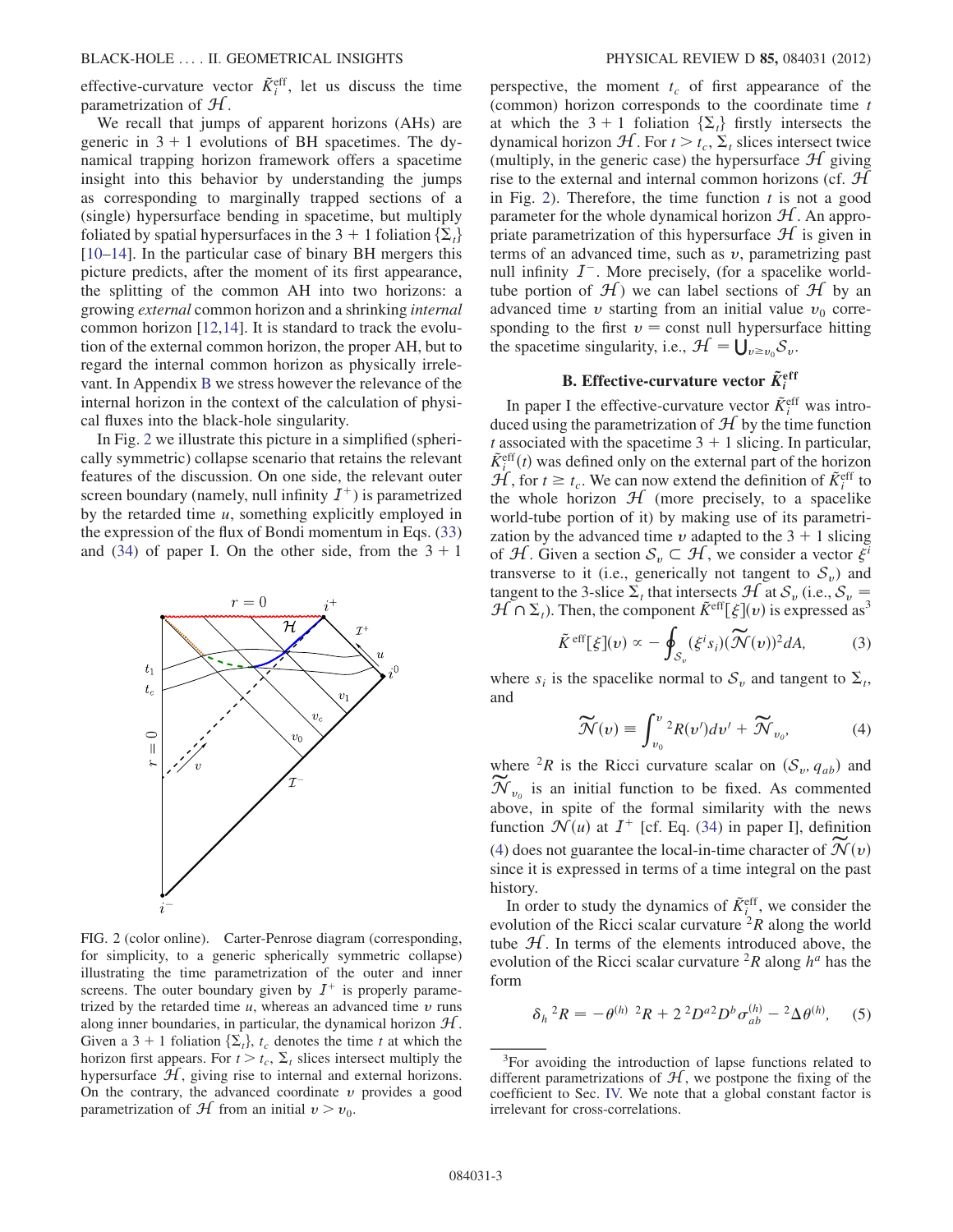effective-curvature vector  $\tilde{K}_i^{\text{eff}}$ , let us discuss the time parametrization of H.

We recall that jumps of apparent horizons (AHs) are generic in  $3 + 1$  evolutions of BH spacetimes. The dynamical trapping horizon framework offers a spacetime insight into this behavior by understanding the jumps as corresponding to marginally trapped sections of a (single) hypersurface bending in spacetime, but multiply foliated by spatial hypersurfaces in the 3 + 1 foliation  $\{\Sigma_t\}$ [\[10–](#page-14-8)[14\]](#page-14-9). In the particular case of binary BH mergers this picture predicts, after the moment of its first appearance, the splitting of the common AH into two horizons: a growing external common horizon and a shrinking internal common horizon [[12](#page-14-10),[14](#page-14-9)]. It is standard to track the evolution of the external common horizon, the proper AH, but to regard the internal common horizon as physically irrelevant. In Appendix [B](#page-13-0) we stress however the relevance of the internal horizon in the context of the calculation of physical fluxes into the black-hole singularity.

In Fig. [2](#page-2-1) we illustrate this picture in a simplified (spherically symmetric) collapse scenario that retains the relevant features of the discussion. On one side, the relevant outer screen boundary (namely, null infinity  $I^+$ ) is parametrized by the retarded time  $u$ , something explicitly employed in the expression of the flux of Bondi momentum in Eqs. [\(33\)](#page-8-1) and [\(34\)](#page-8-2) of paper I. On the other side, from the  $3 + 1$ 

<span id="page-2-1"></span>

FIG. 2 (color online). Carter-Penrose diagram (corresponding, for simplicity, to a generic spherically symmetric collapse) illustrating the time parametrization of the outer and inner screens. The outer boundary given by  $I^+$  is properly parametrized by the retarded time  $u$ , whereas an advanced time  $v$  runs along inner boundaries, in particular, the dynamical horizon  $H$ . Given a 3 + 1 foliation  $\{\Sigma_t\}$ ,  $t_c$  denotes the time t at which the horizon first appears. For  $t > t_c$ ,  $\Sigma_t$  slices intersect multiply the hypersurface  $H$ , giving rise to internal and external horizons. On the contrary, the advanced coordinate  $\nu$  provides a good parametrization of  $H$  from an initial  $v > v_0$ .

perspective, the moment  $t_c$  of first appearance of the (common) horizon corresponds to the coordinate time  $t$ at which the 3 + 1 foliation  $\{\Sigma_t\}$  firstly intersects the dynamical horizon  $\mathcal{H}$ . For  $t > t_c$ ,  $\Sigma_t$  slices intersect twice (multiply, in the generic case) the hypersurface  $\mathcal{H}$  giving rise to the external and internal common horizons (cf.  $H$ in Fig. [2\)](#page-2-1). Therefore, the time function  $t$  is not a good parameter for the whole dynamical horizon  $H$ . An appropriate parametrization of this hypersurface  $\mathcal H$  is given in terms of an advanced time, such as  $v$ , parametrizing past null infinity  $I^-$ . More precisely, (for a spacelike worldtube portion of  $\mathcal{H}$ ) we can label sections of  $\mathcal{H}$  by an advanced time  $\nu$  starting from an initial value  $\nu_0$  corresponding to the first  $v =$  const null hypersurface hitting the spacetime singularity, i.e.,  $\mathcal{H} = \bigcup_{v \ge v_0} \mathcal{S}_v$ .

# **B.** Effective-curvature vector  $\tilde{K}_i^{\text{eff}}$

In paper I the effective-curvature vector  $\tilde{K}^{\text{eff}}_i$  was introduced using the parametrization of  $H$  by the time function t associated with the spacetime  $3 + 1$  slicing. In particular,  $\tilde{K}^{\text{eff}}_t(t)$  was defined only on the external part of the horizon  $H$  for  $t \geq t$ . We can now extend the definition of  $\tilde{K}^{\text{eff}}$  to  $\mathcal{H}$ , for  $t \geq t_c$ . We can now extend the definition of  $\tilde{K}^{\text{eff}}_t$  to the whole horizon  $\mathcal{H}$  (more precisely to a spacelike the whole horizon  $H$  (more precisely, to a spacelike world-tube portion of it) by making use of its parametrization by the advanced time v adapted to the  $3 + 1$  slicing of H. Given a section  $S_v \subset H$ , we consider a vector  $\xi^i$ transverse to it (i.e., generically not tangent to  $S_v$ ) and tangent to the 3-slice  $\Sigma_t$  that intersects  $\mathcal{H}$  at  $\mathcal{S}_v$  (i.e.,  $\mathcal{S}_v = \mathcal{H} \cap \Sigma$ .) Then the component  $\tilde{\mathcal{K}}^{\text{eff}}[\xi](u)$  is expressed as  $\mathcal{H} \cap \Sigma_t$ ). Then, the component  $\tilde{K}^{\text{eff}}[\xi](v)$  is expressed as<sup>3</sup>

$$
\tilde{K}^{\text{eff}}[\xi](v) \propto -\oint_{\mathcal{S}_v} (\xi^i s_i) (\widetilde{\mathcal{N}}(v))^2 dA,\tag{3}
$$

<span id="page-2-3"></span><span id="page-2-0"></span>where  $s_i$  is the spacelike normal to  $S_v$  and tangent to  $\Sigma_t$ , and

$$
\widetilde{\mathcal{N}}(v) \equiv \int_{v_0}^{v} {}^2R(v')dv' + \widetilde{\mathcal{N}}_{v_0}, \tag{4}
$$

where <sup>2</sup>R is the Ricci curvature scalar on  $(S_v, q_{ab})$  and  $\widetilde{\mathcal{N}}_{v_0}$  is an initial function to be fixed. As commented above, in spite of the formal similarity with the news function  $\mathcal{N}(u)$  at  $I^+$  [cf. Eq. ([34](#page-8-2)) in paper I], definition [\(4\)](#page-2-0) does not guarantee the local-in-time character of  $\mathcal{N}(v)$ since it is expressed in terms of a time integral on the past history.

In order to study the dynamics of  $\tilde{K}_{i}^{\text{eff}}$ , we consider the evolution of the Ricci scalar curvature  ${}^{2}R$  along the world tube  $H$ . In terms of the elements introduced above, the evolution of the Ricci scalar curvature  ${}^{2}R$  along  $h^a$  has the form

<span id="page-2-2"></span>
$$
\delta_h{}^2 R = -\theta^{(h)}{}^2 R + 2\,{}^2 D^{a}{}^2 D^b \sigma^{(h)}_{ab} - {}^2 \Delta \theta^{(h)}, \quad (5)
$$

<sup>&</sup>lt;sup>3</sup>For avoiding the introduction of lapse functions related to different parametrizations of  $H$ , we postpone the fixing of the coefficient to Sec. [IV.](#page-5-0) We note that a global constant factor is irrelevant for cross-correlations.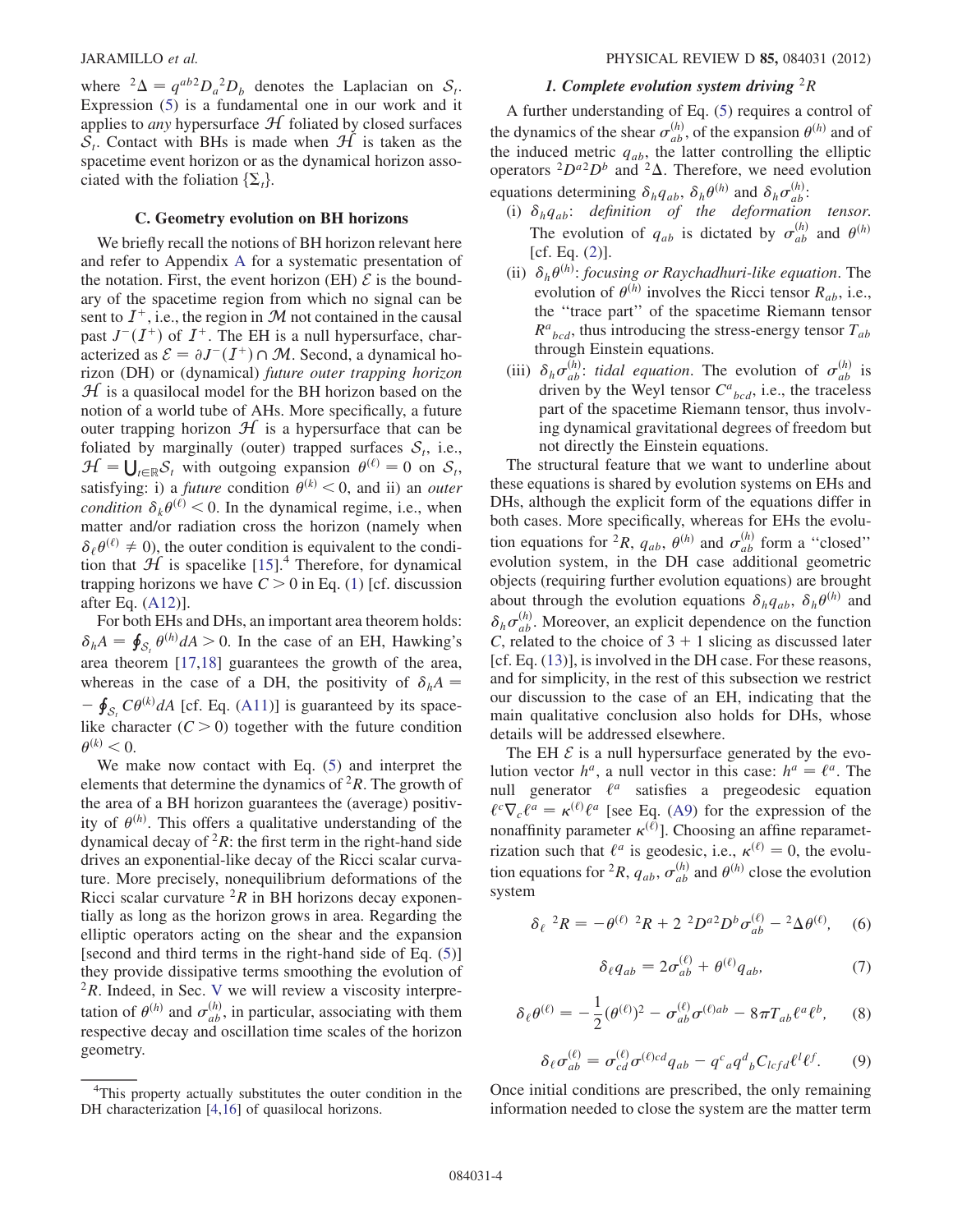where  ${}^{2}\Delta = q^{ab}D_{a}{}^{2}D_{b}$  denotes the Laplacian on  $S_{t}$ .<br>Expression (5) is a fundamental one in our work and it Expression [\(5](#page-2-2)) is a fundamental one in our work and it applies to *any* hypersurface  $H$  foliated by closed surfaces  $S_t$ . Contact with BHs is made when  $H$  is taken as the spacetime event horizon or as the dynamical horizon associated with the foliation  $\{\Sigma_t\}$ .

#### C. Geometry evolution on BH horizons

<span id="page-3-3"></span>We briefly recall the notions of BH horizon relevant here and refer to Appendix [A](#page-11-1) for a systematic presentation of the notation. First, the event horizon (EH)  $\mathcal E$  is the boundary of the spacetime region from which no signal can be sent to  $I^+$ , i.e., the region in M not contained in the causal past  $J^-(I^+)$  of  $I^+$ . The EH is a null hypersurface, char-<br>acterized as  $\mathcal{E} = \partial I^-(I^+) \cap \mathcal{M}$ . Second, a dynamical hoacterized as  $\mathcal{E} = \partial J^{-}(I^{+}) \cap \mathcal{M}$ . Second, a dynamical ho-<br>rizon (DH) or (dynamical) future outer tranning horizon rizon (DH) or (dynamical) future outer trapping horizon  $H$  is a quasilocal model for the BH horizon based on the notion of a world tube of AHs. More specifically, a future outer trapping horizon  $H$  is a hypersurface that can be foliated by marginally (outer) trapped surfaces  $S_t$ , i.e.,  $\mathcal{H} = \bigcup_{t \in \mathbb{R}} \mathcal{S}_t$  with outgoing expansion  $\theta^{(\ell)} = 0$  on  $\mathcal{S}_t$ , estisfying: i) a future condition  $\theta^{(k)} < 0$  and ii) an outgr satisfying: i) a *future* condition  $\theta^{(k)}$  < 0, and ii) an *outer condition*  $\delta_k \theta^{(\ell)} < 0$ . In the dynamical regime, i.e., when matter and/or radiation cross the horizon (namely when  $\delta_{\ell}\theta^{(\ell)} \neq 0$ , the outer condition is equivalent to the condition that  $H$  is spacelike [[15](#page-14-11)].<sup>4</sup> Therefore, for dynamical trapping horizons we have  $C > 0$  in Eq. [\(1](#page-1-2)) [cf. discussion after Eq. [\(A12\)](#page-12-0)].

For both EHs and DHs, an important area theorem holds:  $\delta_h A = \oint_{\mathcal{S}_t} \theta^{(h)} dA > 0$ . In the case of an EH, Hawking's area theorem [[17](#page-14-12),[18](#page-14-13)] guarantees the growth of the area, whereas in the case of a DH, the positivity of  $\delta_h A =$ like character  $(C > 0)$  together with the future condition  $-\oint_{\mathcal{S}_t} C\theta^{(k)} dA$  [cf. Eq. ([A11\)](#page-12-1)] is guaranteed by its space- $\theta^{(k)}$  < 0.

We make now contact with Eq.  $(5)$  $(5)$  $(5)$  and interpret the elements that determine the dynamics of  ${}^{2}R$ . The growth of the area of a BH horizon guarantees the (average) positivity of  $\theta^{(h)}$ . This offers a qualitative understanding of the dynamical decay of  ${}^{2}R$ : the first term in the right-hand side drives an exponential-like decay of the Ricci scalar curvature. More precisely, nonequilibrium deformations of the Ricci scalar curvature  ${}^{2}R$  in BH horizons decay exponentially as long as the horizon grows in area. Regarding the elliptic operators acting on the shear and the expansion [second and third terms in the right-hand side of Eq. ([5](#page-2-2))] they provide dissipative terms smoothing the evolution of  ${}^{2}R$ . Indeed, in Sec. [V](#page-8-0) we will review a viscosity interpretation of  $\theta^{(h)}$  and  $\sigma_{ab}^{(h)}$ , in particular, associating with them respective decay and oscillation time scales of the horizon geometry.

# 1. Complete evolution system driving  ${}^{2}R$

A further understanding of Eq. [\(5\)](#page-2-2) requires a control of the dynamics of the shear  $\sigma_{ab}^{(h)}$ , of the expansion  $\theta^{(h)}$  and of the induced metric  $q_{ab}$ , the latter controlling the elliptic operators  ${}^{2}D^{a}{}^{2}D^{b}$  and  ${}^{2}\Delta$ . Therefore, we need evolution equations determining  $\delta_h q_{ab}$ ,  $\delta_h \theta^{(h)}$  and  $\delta_h \sigma_{ab}^{(h)}$ :

- (i)  $\delta_h q_{ab}$ : definition of the deformation tensor. The evolution of  $q_{ab}$  is dictated by  $\sigma_{ab}^{(h)}$  and  $\theta^{(h)}$  $[cf. Eq. (2)].$  $[cf. Eq. (2)].$  $[cf. Eq. (2)].$
- (ii)  $\delta_h \theta^{(h)}$ : focusing or Raychadhuri-like equation. The evolution of  $\theta^{(h)}$  involves the Ricci tensor  $R_{ab}$ , i.e., the ''trace part'' of the spacetime Riemann tensor  $R^{a}{}_{bcd}$ , thus introducing the stress-energy tensor  $T_{ab}$ through Einstein equations.
- (iii)  $\delta_h \sigma_{ab}^{(h)}$ : *tidal equation*. The evolution of  $\sigma_{ab}^{(h)}$  is driven by the Weyl tensor  $C^a{}_{bcd}$ , i.e., the traceless part of the spacetime Riemann tensor, thus involving dynamical gravitational degrees of freedom but not directly the Einstein equations.

The structural feature that we want to underline about these equations is shared by evolution systems on EHs and DHs, although the explicit form of the equations differ in both cases. More specifically, whereas for EHs the evolution equations for <sup>2</sup>R,  $q_{ab}$ ,  $\theta^{(h)}$  and  $\sigma_{ab}^{(h)}$  form a "closed" evolution system, in the DH case additional geometric objects (requiring further evolution equations) are brought about through the evolution equations  $\delta_h q_{ab}$ ,  $\delta_h \theta^{(h)}$  and  $\delta_h \sigma_{ab}^{(h)}$ . Moreover, an explicit dependence on the function C, related to the choice of  $3 + 1$  slicing as discussed later [cf. Eq. [\(13\)](#page-5-1)], is involved in the DH case. For these reasons, and for simplicity, in the rest of this subsection we restrict our discussion to the case of an EH, indicating that the main qualitative conclusion also holds for DHs, whose details will be addressed elsewhere.

The EH  $\mathcal E$  is a null hypersurface generated by the evolution vector  $h^a$ , a null vector in this case:  $h^a = \ell^a$ . The null generator  $\ell^a$  satisfies a pregeodesic equation  $\ell^{c}\nabla_{c}\ell^{a} = \kappa^{(\ell)}\ell^{a}$  [see Eq. [\(A9](#page-11-4)) for the expression of the nonnonaffinity parameter  $\kappa^{(\ell)}$ ]. Choosing an affine reparametrization such that  $\ell^a$  is geodesic, i.e.,  $\kappa^{(\ell)} = 0$ , the evolution equations for <sup>2</sup>R,  $q_{ab}$ ,  $\sigma_{ab}^{(h)}$  and  $\theta^{(h)}$  close the evolution system

<span id="page-3-2"></span>
$$
\delta_{\ell}^2 R = -\theta^{(\ell)}^2 R + 2^2 D^{a2} D^b \sigma_{ab}^{(\ell)} - 2\Delta \theta^{(\ell)}, \quad (6)
$$

$$
\delta_{\ell}q_{ab} = 2\sigma_{ab}^{(\ell)} + \theta^{(\ell)}q_{ab},\tag{7}
$$

<span id="page-3-1"></span>
$$
\delta_{\ell}\theta^{(\ell)} = -\frac{1}{2}(\theta^{(\ell)})^2 - \sigma_{ab}^{(\ell)}\sigma^{(\ell)ab} - 8\pi T_{ab}\ell^a\ell^b, \qquad (8)
$$

$$
\delta_{\ell}\sigma_{ab}^{(\ell)} = \sigma_{cd}^{(\ell)}\sigma^{(\ell)cd}q_{ab} - q^c{}_a q^d{}_b C_{lcfd} \ell^l \ell^f. \tag{9}
$$

<span id="page-3-0"></span>Once initial conditions are prescribed, the only remaining information needed to close the system are the matter term

<sup>&</sup>lt;sup>4</sup>This property actually substitutes the outer condition in the DH characterization [[4](#page-14-14),[16](#page-14-15)] of quasilocal horizons.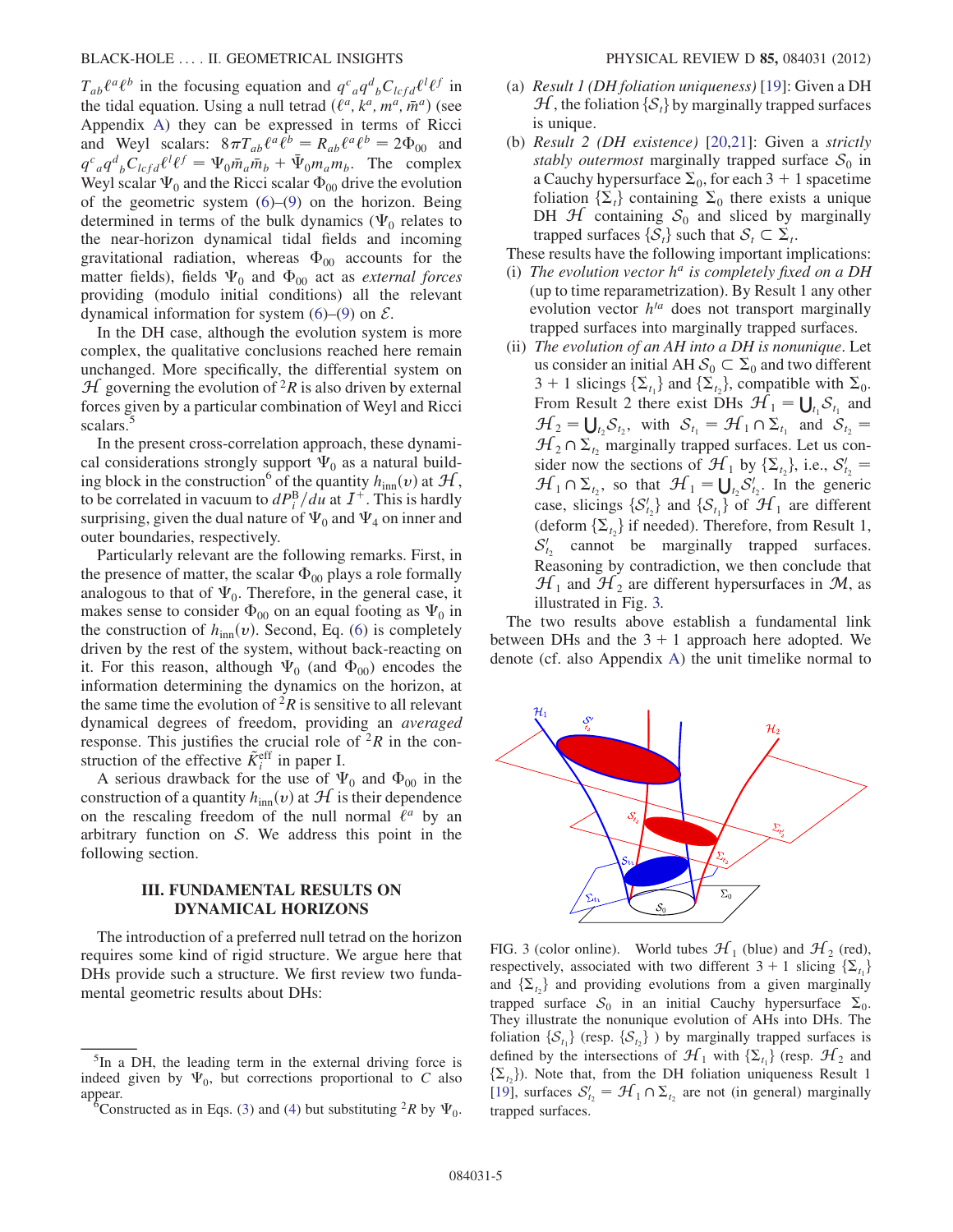$T_{ab}\ell^a\ell^b$  in the focusing equation and  $q^c_{\ a}q^d_{\ b}C_{lcfd}\ell^l\ell^f$  in the tidal equation. Using a null tetrad  $(\ell^a, k^a, m^a, \bar{m}^a)$  (see Appendix [A\)](#page-11-1) they can be expressed in terms of Ricci and Weyl scalars:  $8\pi T_{ab}\ell^a\ell^b = R_{ab}\ell^a\ell^b = 2\Phi_{00}$  and  $q^c_{\ \ a}q^d_{\ \ b}C_{lcfd}\ell^l\ell^f = \Psi_0\bar{m}_a\bar{m}_b + \bar{\Psi}_0m_a m_b$ . The complex<br>Weyl scalar W, and the Ricci scalar  $\Phi_0$  drive the evolution Weyl scalar  $\Psi_0$  and the Ricci scalar  $\Phi_{00}$  drive the evolution of the geometric system  $(6)$  $(6)$  $(6)$ – $(9)$  on the horizon. Being determined in terms of the bulk dynamics ( $\Psi_0$  relates to the near-horizon dynamical tidal fields and incoming gravitational radiation, whereas  $\Phi_{00}$  accounts for the matter fields), fields  $\Psi_0$  and  $\Phi_{00}$  act as *external forces* providing (modulo initial conditions) all the relevant dynamical information for system  $(6)$  $(6)$ – $(9)$  $(9)$  on  $\mathcal{E}$ .

In the DH case, although the evolution system is more complex, the qualitative conclusions reached here remain unchanged. More specifically, the differential system on  $\mathcal H$  governing the evolution of <sup>2</sup>R is also driven by external forces given by a particular combination of Weyl and Ricci scalars.

In the present cross-correlation approach, these dynamical considerations strongly support  $\Psi_0$  as a natural building block in the construction<sup>6</sup> of the quantity  $h_{\text{inn}}(v)$  at  $\mathcal{H}$ , to be correlated in vacuum to  $dP_i^{\rm B}/du$  at  $I^+$ . This is hardly surprising, given the dual nature of  $\Psi_0$  and  $\Psi_4$  on inner and outer boundaries, respectively.

Particularly relevant are the following remarks. First, in the presence of matter, the scalar  $\Phi_{00}$  plays a role formally analogous to that of  $\Psi_0$ . Therefore, in the general case, it makes sense to consider  $\Phi_{00}$  on an equal footing as  $\Psi_0$  in the construction of  $h_{\text{inn}}(v)$ . Second, Eq. ([6](#page-3-0)) is completely driven by the rest of the system, without back-reacting on it. For this reason, although  $\Psi_0$  (and  $\Phi_{00}$ ) encodes the information determining the dynamics on the horizon, at the same time the evolution of  ${}^{2}R$  is sensitive to all relevant dynamical degrees of freedom, providing an averaged response. This justifies the crucial role of  ${}^{2}R$  in the construction of the effective  $\tilde{K}^{\text{eff}}_i$  in paper I.

A serious drawback for the use of  $\Psi_0$  and  $\Phi_{00}$  in the construction of a quantity  $h_{\text{inn}}(v)$  at  $\mathcal{H}$  is their dependence on the rescaling freedom of the null normal  $\ell^a$  by an arbitrary function on  $S$ . We address this point in the following section.

## III. FUNDAMENTAL RESULTS ON DYNAMICAL HORIZONS

<span id="page-4-0"></span>The introduction of a preferred null tetrad on the horizon requires some kind of rigid structure. We argue here that DHs provide such a structure. We first review two fundamental geometric results about DHs:

- (a) Result 1 (DH foliation uniqueness) [[19](#page-14-16)]: Given a DH  $\mathcal{H}$ , the foliation  $\{\mathcal{S}_t\}$  by marginally trapped surfaces is unique.
- (b) Result 2 (DH existence) [[20](#page-14-17),[21](#page-14-18)]: Given a strictly stably outermost marginally trapped surface  $S_0$  in a Cauchy hypersurface  $\Sigma_0$ , for each 3 + 1 spacetime foliation  $\{\Sigma_t\}$  containing  $\Sigma_0$  there exists a unique DH  $H$  containing  $S_0$  and sliced by marginally trapped surfaces  $\{S_t\}$  such that  $S_t \subset \Sigma_t$ .

These results have the following important implications:

- (i) The evolution vector  $h^a$  is completely fixed on a DH (up to time reparametrization). By Result 1 any other evolution vector  $h^{a}$  does not transport marginally trapped surfaces into marginally trapped surfaces.
- (ii) The evolution of an AH into a DH is nonunique. Let us consider an initial AH  $S_0 \subset \Sigma_0$  and two different  $3 + 1$  slicings  $\{\sum_{t_1}\}$  and  $\{\sum_{t_2}\}$ , compatible with  $\Sigma_0$ .<br>From Besult 2 there exist DHs  $H = 11$  S and From Result 2 there exist DHs  $\mathcal{H}_1 = \bigcup_{t_1} S_{t_1}$  and  $\mathcal{H}_2 = \bigcup_{s \in \mathcal{S}} S_{s}$  with  $S_s = \mathcal{H}_1 \cap S_{s}$  and  $S_s = \bigcup_{s \in \mathcal{S}} S_{s}$  $\mathcal{H}_2 = \bigcup_{t_2} \mathcal{S}_{t_2}$ , with  $\mathcal{S}_{t_1} = \mathcal{H}_1 \cap \Sigma_{t_1}$  and  $\mathcal{S}_{t_2} = \mathcal{H}_1 \cap \Sigma$  marginally trapped surfaces. Let us con- $\mathcal{H}_2 \cap \Sigma_t$ , marginally trapped surfaces. Let us consider now the sections of  $\mathcal{H}_1$  by  $\{\Sigma_{t_2}\}\)$ , i.e.,  $S'_{t_2} = \mathcal{H}_2 \cap \Sigma$ , so that  $\mathcal{H}_1 = \prod_{i=1}^{n} S'_{i_i}$  In the generic  $\mathcal{H}_1 \cap \Sigma_{t_2}$ , so that  $\mathcal{H}_1 = \bigcup_{t_2} S'_{t_2}$ . In the generic case, slicings  $\{S' \}$  and  $\{S \}$  of  $\mathcal{H}_2$  are different case, slicings  $\{S'_{t_2}\}$  and  $\{S_{t_1}\}$  of  $\mathcal{H}_1$  are different (deform  $\{S_{t_1}\}$  if needed). Therefore, from Result 1 (deform  $\{\Sigma_{t_2}\}\$ if needed). Therefore, from Result 1,  $S'_{t_2}$  cannot be marginally trapped surfaces. Reasoning by contradiction, we then conclude that  $\mathcal{H}_1$  and  $\mathcal{H}_2$  are different hypersurfaces in  $\mathcal{M}$ , as illustrated in Fig. [3.](#page-4-1)

The two results above establish a fundamental link between DHs and the  $3 + 1$  approach here adopted. We denote (cf. also Appendix [A](#page-11-1)) the unit timelike normal to

<span id="page-4-1"></span>

FIG. 3 (color online). World tubes  $\mathcal{H}_1$  (blue) and  $\mathcal{H}_2$  (red), respectively, associated with two different  $3 + 1$  slicing  $\{\Sigma_{t_1}\}\$ and  $\{\Sigma_{t_1}\}\$ and providing evolutions from a given marginally trapped surface  $S_0$  in an initial Cauchy hypersurface  $\Sigma_0$ . They illustrate the nonunique evolution of AHs into DHs. The foliation  $\{S_{t_1}\}\$  (resp.  $\{S_{t_2}\}\$ ) by marginally trapped surfaces is defined by the intersections of  $\mathcal{H}_1$  with  $\{\Sigma_{t_1}\}\$  (resp.  $\mathcal{H}_2$  and  $\{\sum_{t_1}\}\$ . Note that, from the DH foliation uniqueness Result 1 [\[19\]](#page-14-16), surfaces  $S'_{t_2} = \mathcal{H}_1 \cap \Sigma_{t_2}$  are not (in general) marginally tranned surfaces trapped surfaces.

<sup>&</sup>lt;sup>5</sup>In a DH, the leading term in the external driving force is indeed given by  $\Psi_0$ , but corrections proportional to C also appear.

Constructed as in Eqs. ([3](#page-2-3)) and ([4](#page-2-0)) but substituting <sup>2</sup>R by  $\Psi_0$ .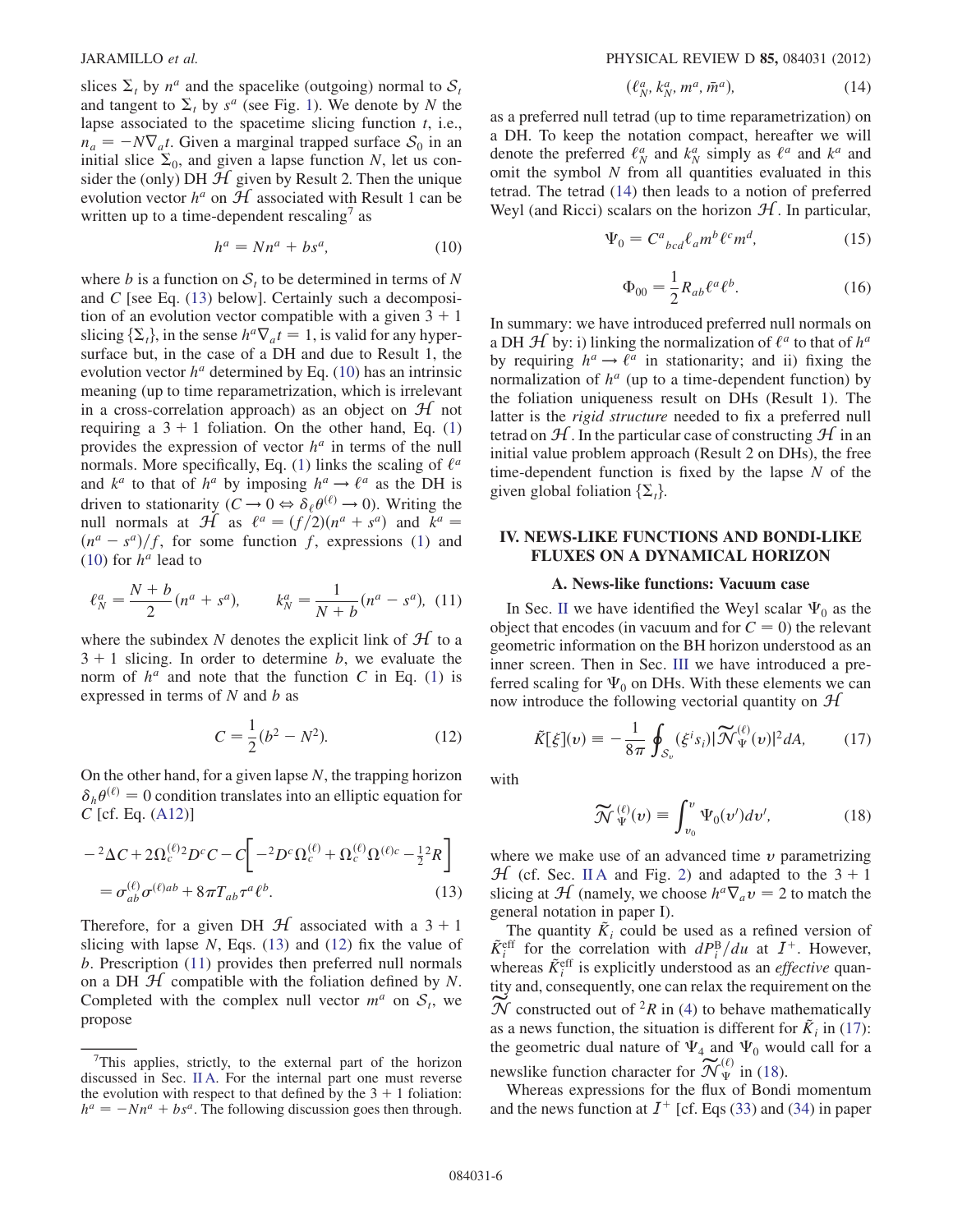slices  $\Sigma_t$  by  $n^a$  and the spacelike (outgoing) normal to  $S_t$ and tangent to  $\Sigma_t$  by s<sup>a</sup> (see Fig. [1](#page-1-1)). We denote by N the lapse associated to the spacetime slicing function  $t$ , i.e.,  $n_a = -N\nabla_a t$ . Given a marginal trapped surface  $S_0$  in an initial slice  $\Sigma_0$  and given a lanse function N let us coninitial slice  $\Sigma_0$ , and given a lapse function N, let us consider the (only) DH  $H$  given by Result 2. Then the unique evolution vector  $h^a$  on  $H$  associated with Result 1 can be written up to a time-dependent rescaling $\alpha$  as

$$
h^a = Nn^a + bs^a,\tag{10}
$$

<span id="page-5-2"></span>where b is a function on  $S_t$  to be determined in terms of N and C [see Eq. ([13](#page-5-1)) below]. Certainly such a decomposition of an evolution vector compatible with a given  $3 + 1$ slicing  $\{\Sigma_t\}$ , in the sense  $h^a \nabla_a t = 1$ , is valid for any hypersurface but, in the case of a DH and due to Result 1, the evolution vector  $h^a$  determined by Eq. ([10\)](#page-5-2) has an intrinsic meaning (up to time reparametrization, which is irrelevant in a cross-correlation approach) as an object on  $H$  not requiring a  $3 + 1$  foliation. On the other hand, Eq. [\(1\)](#page-1-2) provides the expression of vector  $h^a$  in terms of the null normals. More specifically, Eq. [\(1](#page-1-2)) links the scaling of  $\ell^a$ and  $k^a$  to that of  $h^a$  by imposing  $h^a \rightarrow \ell^a$  as the DH is driven to stationarity  $(C \to 0 \Leftrightarrow \delta_{\ell} \theta^{(\ell)} \to 0)$ . Writing the null normals at  $\mathcal{H}$  as  $\ell^a = (f/2)(n^a + s^a)$  and  $k^a =$  $(n^a - s^a)/f$ , for some function f, expressions ([1\)](#page-1-2) and (10) for  $h^a$  lead to [\(10\)](#page-5-2) for  $h^a$  lead to

<span id="page-5-4"></span>
$$
\ell_N^a = \frac{N+b}{2} (n^a + s^a), \qquad k_N^a = \frac{1}{N+b} (n^a - s^a), \tag{11}
$$

<span id="page-5-3"></span>where the subindex N denotes the explicit link of  $H$  to a  $3 + 1$  slicing. In order to determine b, we evaluate the norm of  $h^a$  and note that the function C in Eq. [\(1\)](#page-1-2) is expressed in terms of  $N$  and  $b$  as

$$
C = \frac{1}{2}(b^2 - N^2). \tag{12}
$$

<span id="page-5-1"></span>On the other hand, for a given lapse  $N$ , the trapping horizon  $\delta_h \theta^{(\ell)} = 0$  condition translates into an elliptic equation for  $C$  [cf. Eq. [\(A12](#page-12-0))]

$$
-{}^{2}\Delta C + 2\Omega_c^{(\ell)}{}^{2}D^{c}C - C \left[ -{}^{2}D^{c}\Omega_c^{(\ell)} + \Omega_c^{(\ell)}\Omega^{(\ell)c} - \frac{1}{2} {}^{2}R \right]
$$

$$
= \sigma_{ab}^{(\ell)}\sigma^{(\ell)ab} + 8\pi T_{ab}\tau^a\ell^b.
$$
(13)

Therefore, for a given DH  $\mathcal{H}$  associated with a 3 + 1 slicing with lapse  $N$ , Eqs. [\(13\)](#page-5-1) and [\(12\)](#page-5-3) fix the value of b. Prescription ([11](#page-5-4)) provides then preferred null normals on a DH  $H$  compatible with the foliation defined by N. Completed with the complex null vector  $m^a$  on  $S_t$ , we propose

$$
(\ell_N^a, k_N^a, m^a, \bar{m}^a), \qquad (14)
$$

<span id="page-5-5"></span>as a preferred null tetrad (up to time reparametrization) on a DH. To keep the notation compact, hereafter we will denote the preferred  $\ell_N^a$  and  $k_N^a$  simply as  $\ell^a$  and  $k^a$  and omit the symbol  $N$  from all quantities evaluated in this tetrad. The tetrad ([14](#page-5-5)) then leads to a notion of preferred Weyl (and Ricci) scalars on the horizon  $H$ . In particular,

$$
\Psi_0 = C^a{}_{bcd} \ell_a m^b \ell^c m^d,\tag{15}
$$

$$
\Phi_{00} = \frac{1}{2} R_{ab} \ell^a \ell^b.
$$
 (16)

In summary: we have introduced preferred null normals on a DH  $\mathcal H$  by: i) linking the normalization of  $\ell^a$  to that of  $h^a$ by requiring  $h^a \rightarrow \ell^a$  in stationarity; and ii) fixing the normalization of  $h^a$  (up to a time-dependent function) by the foliation uniqueness result on DHs (Result 1). The latter is the rigid structure needed to fix a preferred null tetrad on  $H$ . In the particular case of constructing  $H$  in an initial value problem approach (Result 2 on DHs), the free time-dependent function is fixed by the lapse  $N$  of the given global foliation  $\{\Sigma_t\}$ .

# <span id="page-5-0"></span>IV. NEWS-LIKE FUNCTIONS AND BONDI-LIKE FLUXES ON A DYNAMICAL HORIZON

#### A. News-like functions: Vacuum case

In Sec. [II](#page-1-0) we have identified the Weyl scalar  $\Psi_0$  as the object that encodes (in vacuum and for  $C = 0$ ) the relevant geometric information on the BH horizon understood as an inner screen. Then in Sec. [III](#page-4-0) we have introduced a preferred scaling for  $\Psi_0$  on DHs. With these elements we can now introduce the following vectorial quantity on  $H$ 

<span id="page-5-6"></span>
$$
\tilde{K}[\xi](v) \equiv -\frac{1}{8\pi} \oint_{\mathcal{S}_v} (\xi^i s_i) |\widetilde{\mathcal{N}}_{\Psi}^{(\ell)}(v)|^2 dA, \qquad (17)
$$

<span id="page-5-7"></span>with

$$
\widetilde{\mathcal{N}}_{\Psi}^{(\ell)}(v) \equiv \int_{v_0}^v \Psi_0(v')dv', \tag{18}
$$

where we make use of an advanced time  $\nu$  parametrizing  $H$  (cf. Sec. [II A](#page-1-4) and Fig. [2](#page-2-1)) and adapted to the  $3 + 1$ slicing at  $\mathcal{H}$  (namely, we choose  $h^a \nabla_a v = 2$  to match the general notation in paper I).

The quantity  $\tilde{K}_i$  could be used as a refined version of  $\tilde{K}_{i}^{\text{eff}}$  for the correlation with  $dP_{i}^{\text{B}}/du$  at  $I^{+}$ . However, whereas  $\tilde{K}_{i}^{\text{eff}}$  is explicitly understood as an *effective* quantity and, consequently, one can relax the requirement on the  $\widetilde{\mathcal{N}}$  constructed out of <sup>2</sup>R in ([4\)](#page-2-0) to behave mathematically as a news function, the situation is different for  $\tilde{K}_i$  in [\(17\)](#page-5-6): the geometric dual nature of  $\Psi_4$  and  $\Psi_0$  would call for a newslike function character for  $\widetilde{\mathcal{N}}_{\Psi}^{(\ell)}$  in [\(18\)](#page-5-7).

Whereas expressions for the flux of Bondi momentum and the news function at  $I^+$  [cf. Eqs ([33](#page-8-1)) and ([34](#page-8-2)) in paper

<sup>&</sup>lt;sup>7</sup>This applies, strictly, to the external part of the horizon discussed in Sec. [II A.](#page-1-4) For the internal part one must reverse the evolution with respect to that defined by the  $3 + 1$  foliation:  $h^a = -Nn^a + bs^a$ . The following discussion goes then through.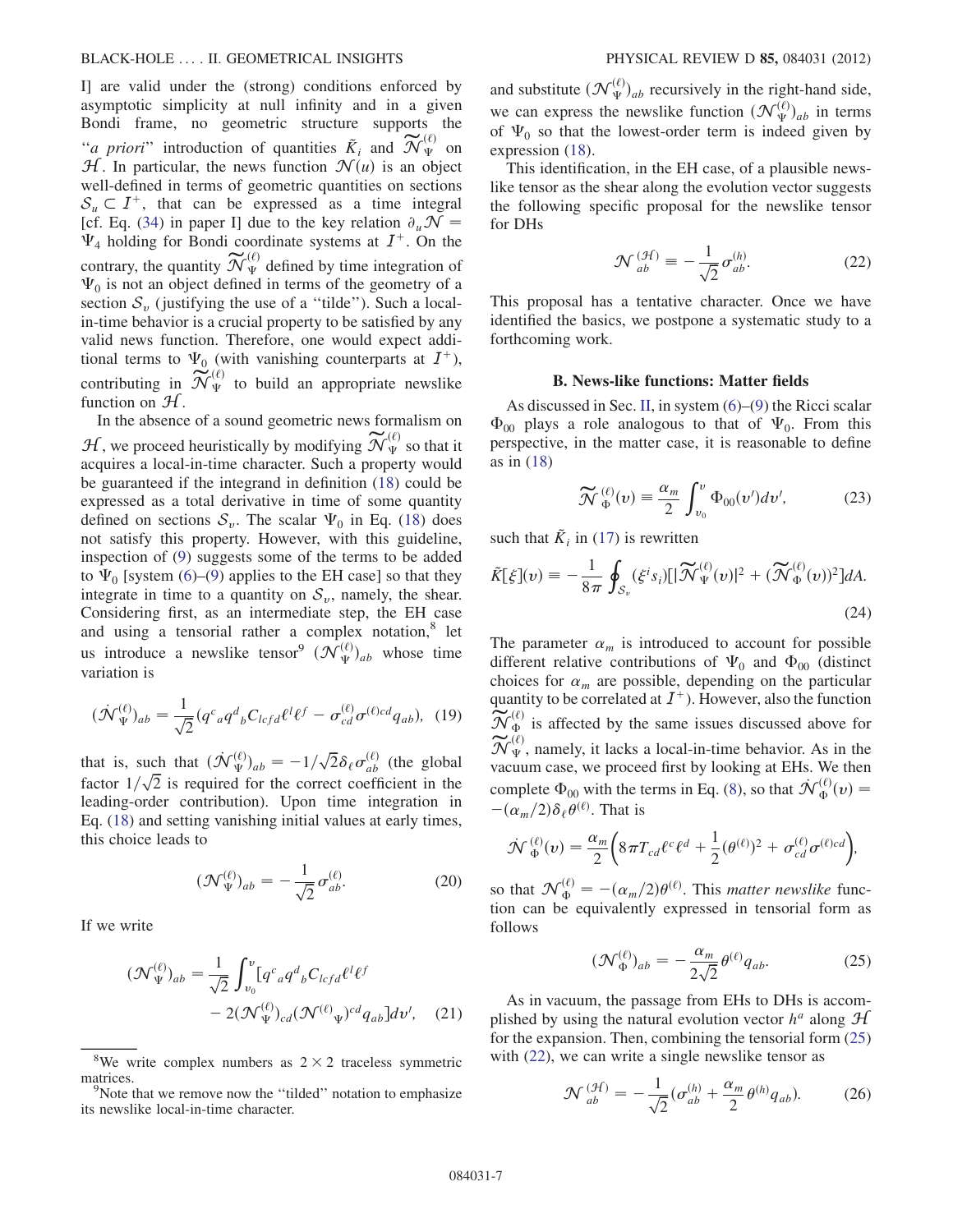I] are valid under the (strong) conditions enforced by asymptotic simplicity at null infinity and in a given Bondi frame, no geometric structure supports the "*a priori*" introduction of quantities  $\tilde{K}_i$  and  $\widetilde{\mathcal{N}}_{\Psi}^{(\ell)}$  on  $\mathcal{H}$ . In particular, the news function  $\mathcal{N}(u)$  is an object well-defined in terms of geometric quantities on sections  $S_u \subset I^+$ , that can be expressed as a time integral [cf. Eq. ([34](#page-8-2)) in paper I] due to the key relation  $\partial_u \mathcal{N} =$  $\Psi_4$  holding for Bondi coordinate systems at  $I^+$ . On the contrary, the quantity  $\widetilde{\mathcal{N}}_{\Psi}^{(\ell)}$  defined by time integration of  $\Psi_0$  is not an object defined in terms of the geometry of a section  $S_v$  (justifying the use of a "tilde"). Such a localin-time behavior is a crucial property to be satisfied by any valid news function. Therefore, one would expect additional terms to  $\Psi_0$  (with vanishing counterparts at  $I^+$ ), contributing in  $\widetilde{\mathcal{N}}_{\Psi}^{(\ell)}$  to build an appropriate newslike function on  $\mathcal{H}$ .

In the absence of a sound geometric news formalism on  $\mathcal{H}$ , we proceed heuristically by modifying  $\widetilde{\mathcal{N}}_{\Psi}^{(\ell)}$  so that it acquires a local-in-time character. Such a property would be guaranteed if the integrand in definition ([18](#page-5-7)) could be expressed as a total derivative in time of some quantity defined on sections  $S_v$ . The scalar  $\Psi_0$  in Eq. ([18](#page-5-7)) does not satisfy this property. However, with this guideline, inspection of [\(9\)](#page-3-1) suggests some of the terms to be added to  $\Psi_0$  [system [\(6](#page-3-0))–[\(9\)](#page-3-1) applies to the EH case] so that they integrate in time to a quantity on  $S_v$ , namely, the shear. Considering first, as an intermediate step, the EH case and using a tensorial rather a complex notation,<sup>8</sup> let us introduce a newslike tensor<sup>9</sup>  $(\mathcal{N}_{\Psi}^{(\ell)})_{ab}$  whose time variation is

$$
(\mathcal{N}_{\Psi}^{(\ell)})_{ab} = \frac{1}{\sqrt{2}} (q^c{}_a q^d{}_b C_{lcfd} \ell^l \ell^f - \sigma_{cd}^{(\ell)} \sigma^{(\ell)cd} q_{ab}), \tag{19}
$$

that is, such that  $(\mathcal{N}_{\Psi}^{(\ell)})_{ab} = -1/\sqrt{2} \delta_{\ell} \sigma_{ab}^{(\ell)}$  (the global feator 1 /  $\sqrt{2}$  is required for the correct coefficient in the factor  $1/\sqrt{2}$  is required for the correct coefficient in the leading-order contribution). Upon time integration in Eq. [\(18\)](#page-5-7) and setting vanishing initial values at early times, this choice leads to

$$
(\mathcal{N}_{\Psi}^{(\ell)})_{ab} = -\frac{1}{\sqrt{2}} \sigma_{ab}^{(\ell)}.
$$
 (20)

If we write

$$
(\mathcal{N}_{\Psi}^{(\ell)})_{ab} = \frac{1}{\sqrt{2}} \int_{v_0}^{v} [q^c{}_a q^d{}_b C_{lcfd} \ell^l \ell^f
$$

$$
- 2(\mathcal{N}_{\Psi}^{(\ell)})_{cd} (\mathcal{N}^{(\ell)})_{\Psi})^{cd} q_{ab}] dv', \quad (21)
$$

and substitute  $(\mathcal{N}_{\Psi}^{(\ell)})_{ab}$  recursively in the right-hand side, we can express the newslike function  $(\mathcal{N}_{\Psi}^{(\ell)})_{ab}$  in terms of  $\Psi$ , so that the lowest-order term is indeed given by of  $\Psi_0$  so that the lowest-order term is indeed given by expression [\(18\)](#page-5-7).

<span id="page-6-1"></span>This identification, in the EH case, of a plausible newslike tensor as the shear along the evolution vector suggests the following specific proposal for the newslike tensor for DHs

$$
\mathcal{N}^{(\mathcal{H})}_{ab} \equiv -\frac{1}{\sqrt{2}} \sigma^{(h)}_{ab}.
$$
 (22)

This proposal has a tentative character. Once we have identified the basics, we postpone a systematic study to a forthcoming work.

#### B. News-like functions: Matter fields

As discussed in Sec. [II](#page-1-0), in system [\(6](#page-3-0))–[\(9\)](#page-3-1) the Ricci scalar  $\Phi_{00}$  plays a role analogous to that of  $\Psi_{0}$ . From this perspective, in the matter case, it is reasonable to define as in [\(18\)](#page-5-7)

$$
\widetilde{\mathcal{N}}_{\Phi}^{(\ell)}(v) \equiv \frac{\alpha_m}{2} \int_{v_0}^v \Phi_{00}(v')dv', \tag{23}
$$

<span id="page-6-2"></span>such that  $\tilde{K}_i$  in [\(17\)](#page-5-6) is rewritten

$$
\tilde{K}[\xi](\nu) = -\frac{1}{8\pi} \oint_{\mathcal{S}_{\nu}} (\xi^i s_i) [\vert \widetilde{\mathcal{N}}_{\Psi}^{(\ell)}(\nu) \vert^2 + (\widetilde{\mathcal{N}}_{\Phi}^{(\ell)}(\nu))^2] dA. \tag{24}
$$

The parameter  $\alpha_m$  is introduced to account for possible different relative contributions of  $\Psi_0$  and  $\Phi_{00}$  (distinct choices for  $\alpha_m$  are possible, depending on the particular quantity to be correlated at  $I^+$ ). However, also the function  $\widetilde{\mathcal{N}}_{\Phi}^{(\ell)}$  is affected by the same issues discussed above for  $\widetilde{\mathcal{N}}_{\Psi}^{(\ell)}$ , namely, it lacks a local-in-time behavior. As in the vacuum case, we proceed first by looking at EHs. We then complete  $\Phi_{00}$  with the terms in Eq. ([8\)](#page-3-2), so that  $\mathcal{N}_{\Phi}^{(\ell)}(v) =$  $-(\alpha_m/2)\delta_\ell\theta^{(\ell)}$ . That is

$$
\mathcal{N}_{\Phi}^{(\ell)}(v) = \frac{\alpha_m}{2} \bigg( 8 \pi T_{cd} \ell^c \ell^d + \frac{1}{2} (\theta^{(\ell)})^2 + \sigma_{cd}^{(\ell)} \sigma^{(\ell)cd} \bigg),
$$

<span id="page-6-0"></span>so that  $\mathcal{N}_{\Phi}^{(\ell)} = -(\alpha_m/2)\theta^{(\ell)}$ . This *matter newslike* func-<br>tion can be equivalently expressed in tensorial form as  $\alpha_{m/2}$   $\alpha_{m/2}$  - This matter newshike func-<br>tion can be equivalently expressed in tensorial form as follows

$$
(\mathcal{N}_{\Phi}^{(\ell)})_{ab} = -\frac{\alpha_m}{2\sqrt{2}} \theta^{(\ell)} q_{ab}.
$$
 (25)

<span id="page-6-3"></span>As in vacuum, the passage from EHs to DHs is accomplished by using the natural evolution vector  $h^a$  along  $\mathcal{H}$ for the expansion. Then, combining the tensorial form [\(25\)](#page-6-0) with  $(22)$ , we can write a single newslike tensor as

$$
\mathcal{N}^{(\mathcal{H})}_{ab} = -\frac{1}{\sqrt{2}} (\sigma^{(h)}_{ab} + \frac{\alpha_m}{2} \theta^{(h)} q_{ab}).
$$
 (26)

<sup>&</sup>lt;sup>8</sup>We write complex numbers as  $2 \times 2$  traceless symmetric atrices. matrices.

Note that we remove now the "tilded" notation to emphasize its newslike local-in-time character.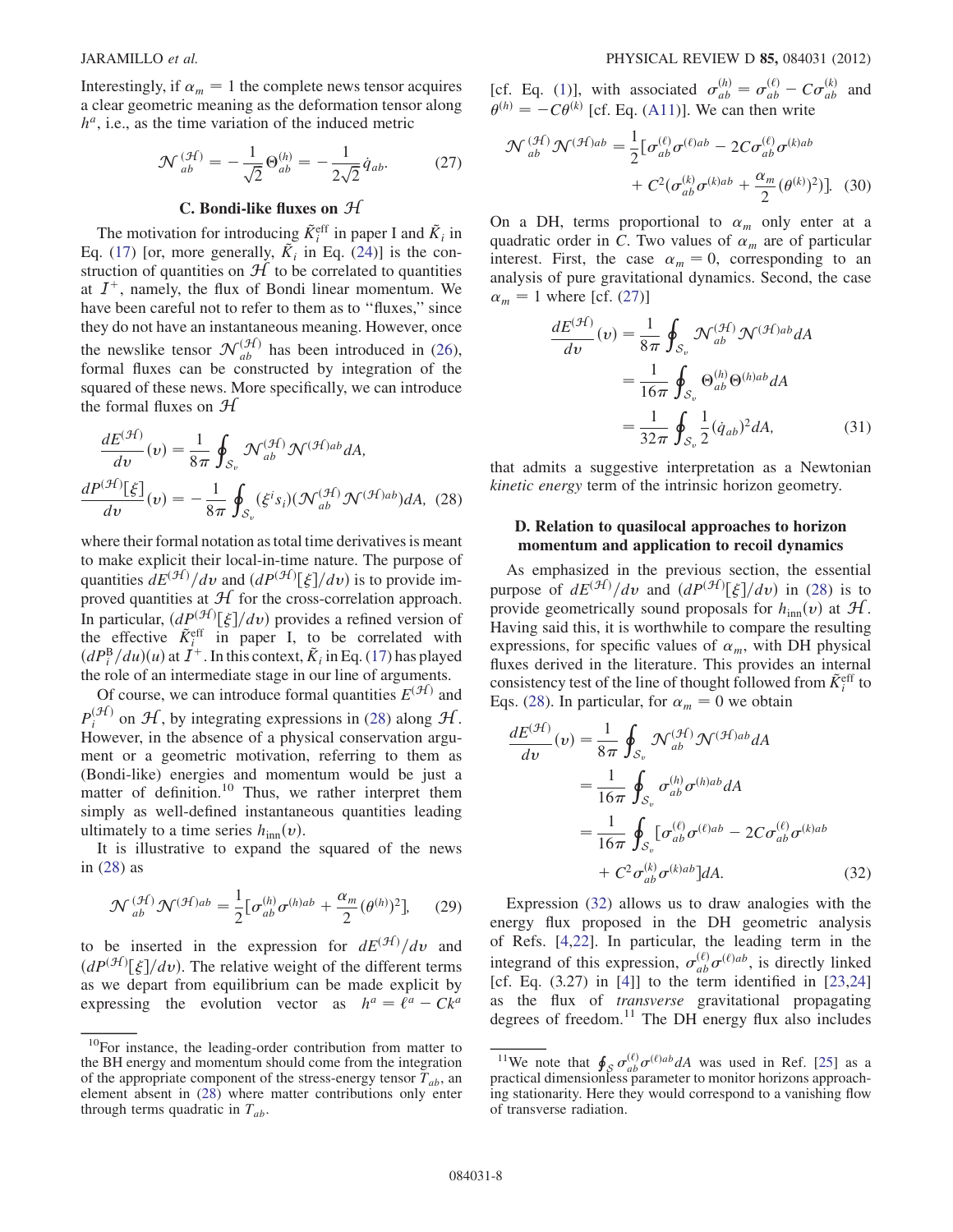<span id="page-7-1"></span>Interestingly, if  $\alpha_m = 1$  the complete news tensor acquires a clear geometric meaning as the deformation tensor along  $h^a$ , i.e., as the time variation of the induced metric

$$
\mathcal{N}^{(\mathcal{H})}_{ab} = -\frac{1}{\sqrt{2}} \Theta^{(h)}_{ab} = -\frac{1}{2\sqrt{2}} \dot{q}_{ab}.
$$
 (27)

# C. Bondi-like fluxes on  $H$

The motivation for introducing  $\tilde{K}^{\text{eff}}_i$  in paper I and  $\tilde{K}_i$  in Eq. ([17](#page-5-6)) [or, more generally,  $K_i$  in Eq. [\(24\)](#page-6-2)] is the construction of quantities on  $H$  to be correlated to quantities at  $I^+$ , namely, the flux of Bondi linear momentum. We have been careful not to refer to them as to "fluxes," since they do not have an instantaneous meaning. However, once the newslike tensor  $\mathcal{N}_{ab}^{(\mathcal{H})}$  has been introduced in [\(26\)](#page-6-3), formal fluxes can be constructed by integration of the squared of these news. More specifically, we can introduce the formal fluxes on  $H$ 

<span id="page-7-0"></span>
$$
\frac{dE^{(\mathcal{H})}}{dv}(v) = \frac{1}{8\pi} \oint_{\mathcal{S}_v} \mathcal{N}_{ab}^{(\mathcal{H})} \mathcal{N}^{(\mathcal{H})ab} dA,
$$

$$
\frac{dP^{(\mathcal{H})}[\xi]}{dv}(v) = -\frac{1}{8\pi} \oint_{\mathcal{S}_v} (\xi^i s_i) (\mathcal{N}_{ab}^{(\mathcal{H})} \mathcal{N}^{(\mathcal{H})ab}) dA, (28)
$$

where their formal notation as total time derivatives is meant to make explicit their local-in-time nature. The purpose of quantities  $dE^{(\mathcal{H})}/dv$  and  $(dP^{(\mathcal{H})}[\xi]/dv)$  is to provide im-<br>proved quantities at  $\mathcal{H}$  for the cross-correlation approach proved quantities at  $\mathcal{H}$  for the cross-correlation approach.<br>In particular,  $(dP^{(\mathcal{H})}[\xi]/dv)$  provides a refined version of In particular,  $\left(dP^{(\mathcal{H})}[\xi]/dv\right)$  provides a refined version of the effective  $\tilde{K}_{i}^{\text{eff}}$  in paper I, to be correlated with  $(dP_i^B/du)(u)$  at  $\vec{I}^+$ . In this context,  $\tilde{K}_i$  in Eq. [\(17\)](#page-5-6) has played<br>the role of an intermediate stage in our line of arguments the role of an intermediate stage in our line of arguments.

Of course, we can introduce formal quantities  $E^{(\mathcal{H})}$  and  $P_i^{(\mathcal{H})}$  on  $\mathcal{H}$ , by integrating expressions in ([28](#page-7-0)) along  $\mathcal{H}$ . However, in the absence of a physical conservation argument or a geometric motivation, referring to them as (Bondi-like) energies and momentum would be just a matter of definition.<sup>10</sup> Thus, we rather interpret them simply as well-defined instantaneous quantities leading ultimately to a time series  $h_{\text{inn}}(v)$ .

It is illustrative to expand the squared of the news in ([28](#page-7-0)) as

$$
\mathcal{N}_{ab}^{(\mathcal{H})}\mathcal{N}^{(\mathcal{H})ab} = \frac{1}{2} \big[\sigma_{ab}^{(h)}\sigma^{(h)ab} + \frac{\alpha_m}{2}(\theta^{(h)})^2\big],\qquad(29)
$$

to be inserted in the expression for  $dE^{(\mathcal{H})}/dv$  and  $(dP^{(\mathcal{H})}[\xi]/dv)$ . The relative weight of the different terms as we depart from equilibrium can be made explicit by as we depart from equilibrium can be made explicit by expressing the evolution vector as  $h^a = \ell^a - Ck^a$ 

[cf. Eq. [\(1](#page-1-2))], with associated  $\sigma_{ab}^{(h)} = \sigma_{ab}^{(\ell)} - C\sigma_{ab}^{(k)}$  and  $\sigma_{ab}^{(h)} = -C\sigma_{ab}^{(k)}$  for Eq. (A11)] We gen than write  $\theta^{(h)} = -C\theta^{(k)}$  [cf. Eq. [\(A11](#page-12-1))]. We can then write

$$
\mathcal{N}^{(\mathcal{H})}_{ab} \mathcal{N}^{(\mathcal{H})ab} = \frac{1}{2} \big[ \sigma^{(\ell)}_{ab} \sigma^{(\ell)ab} - 2C \sigma^{(\ell)}_{ab} \sigma^{(k)ab} + C^2 (\sigma^{(k)}_{ab} \sigma^{(k)ab} + \frac{\alpha_m}{2} (\theta^{(k)})^2) \big].
$$
 (30)

On a DH, terms proportional to  $\alpha_m$  only enter at a quadratic order in C. Two values of  $\alpha_m$  are of particular interest. First, the case  $\alpha_m = 0$ , corresponding to an analysis of pure gravitational dynamics. Second, the case  $\alpha_m = 1$  where [cf. [\(27\)](#page-7-1)]

$$
\frac{dE^{(\mathcal{H})}}{dv}(v) = \frac{1}{8\pi} \oint_{\mathcal{S}_v} \mathcal{N}_{ab}^{(\mathcal{H})} \mathcal{N}^{(\mathcal{H})ab} dA
$$

$$
= \frac{1}{16\pi} \oint_{\mathcal{S}_v} \Theta_{ab}^{(h)} \Theta^{(h)ab} dA
$$

$$
= \frac{1}{32\pi} \oint_{\mathcal{S}_v} \frac{1}{2} (\dot{q}_{ab})^2 dA,
$$
(31)

that admits a suggestive interpretation as a Newtonian kinetic energy term of the intrinsic horizon geometry.

#### <span id="page-7-3"></span>D. Relation to quasilocal approaches to horizon momentum and application to recoil dynamics

As emphasized in the previous section, the essential purpose of  $dE^{(\mathcal{H})}/dv$  and  $(dP^{(\mathcal{H})}[\xi]/dv)$  in [\(28\)](#page-7-0) is to provide geometrically sound proposals for h. (*i*) at  $\mathcal{H}$ provide geometrically sound proposals for  $h_{\text{inn}}(v)$  at  $\mathcal{H}$ . Having said this, it is worthwhile to compare the resulting expressions, for specific values of  $\alpha_m$ , with DH physical fluxes derived in the literature. This provides an internal consistency test of the line of thought followed from  $\tilde{K}_i^{\text{eff}}$  to Eqs. ([28](#page-7-0)). In particular, for  $\alpha_m = 0$  we obtain

<span id="page-7-2"></span>
$$
\frac{dE^{(\mathcal{H})}}{dv}(v) = \frac{1}{8\pi} \oint_{\mathcal{S}_v} \mathcal{N}_{ab}^{(\mathcal{H})} \mathcal{N}^{(\mathcal{H})ab} dA
$$

$$
= \frac{1}{16\pi} \oint_{\mathcal{S}_v} \sigma_{ab}^{(h)} \sigma^{(h)ab} dA
$$

$$
= \frac{1}{16\pi} \oint_{\mathcal{S}_v} [\sigma_{ab}^{(\ell)} \sigma^{(\ell)ab} - 2C\sigma_{ab}^{(\ell)} \sigma^{(k)ab}
$$

$$
+ C^2 \sigma_{ab}^{(k)} \sigma^{(k)ab}] dA.
$$
(32)

Expression ([32](#page-7-2)) allows us to draw analogies with the energy flux proposed in the DH geometric analysis of Refs. [\[4,](#page-14-14)[22\]](#page-14-19). In particular, the leading term in the integrand of this expression,  $\sigma_{ab}^{(\ell)} \sigma^{(\ell)ab}$ , is directly linked [cf. Eq.  $(3.27)$  in [[4\]](#page-14-14)] to the term identified in [\[23](#page-14-20)[,24\]](#page-14-21) as the flux of transverse gravitational propagating degrees of freedom. $11$  The DH energy flux also includes

<sup>&</sup>lt;sup>10</sup>For instance, the leading-order contribution from matter to the BH energy and momentum should come from the integration of the appropriate component of the stress-energy tensor  $T_{ab}$ , an element absent in ([28](#page-7-0)) where matter contributions only enter through terms quadratic in  $T_{ab}$ .

<sup>&</sup>lt;sup>11</sup>We note that  $\oint_S \sigma_{ab}^{(\ell)} \sigma^{(\ell)ab} dA$  was used in Ref. [\[25\]](#page-14-22) as a practical dimensionless parameter to monitor horizons approaching stationarity. Here they would correspond to a vanishing flow of transverse radiation.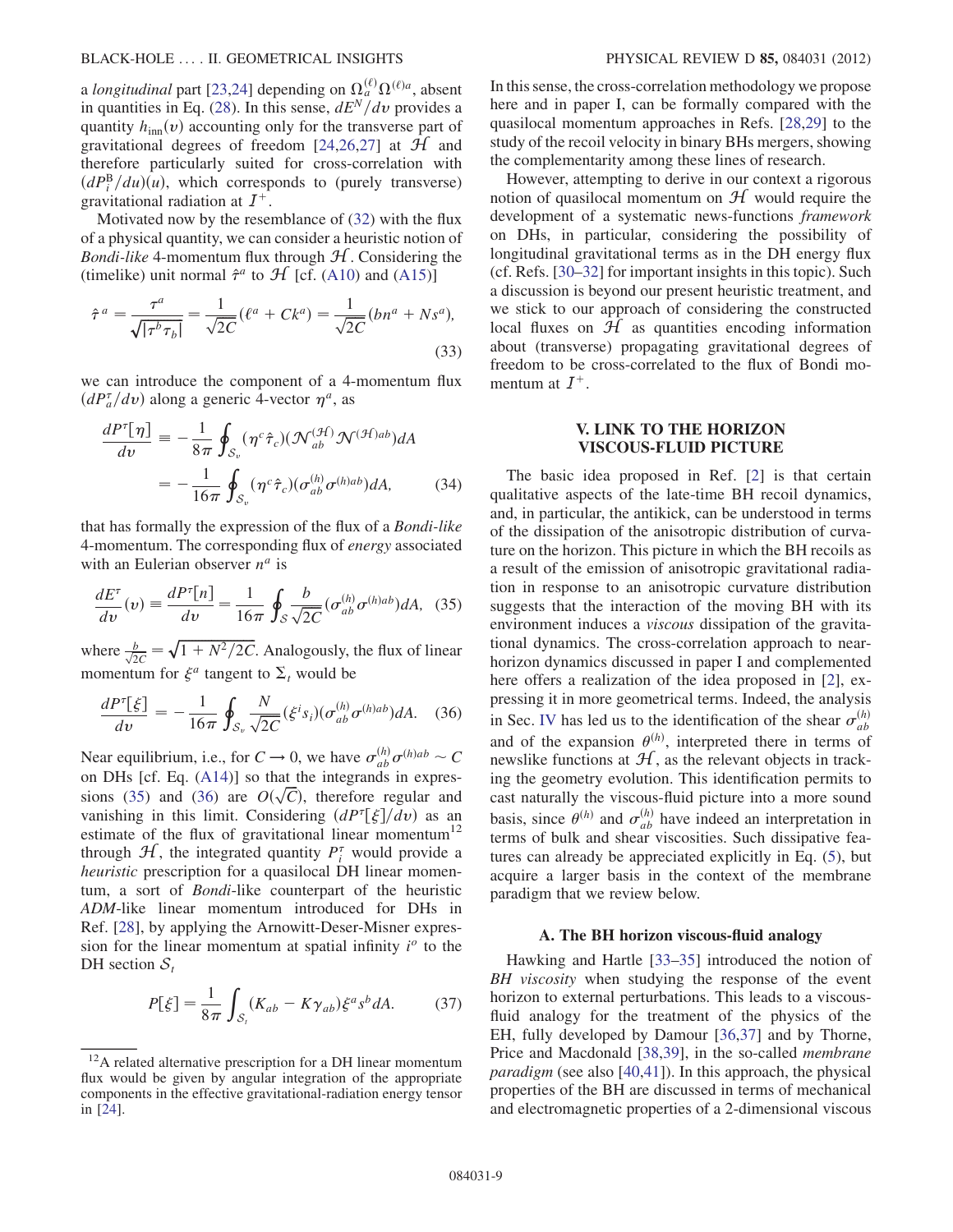a longitudinal part [[23](#page-14-20),[24](#page-14-21)] depending on  $\Omega_a^{(\ell)} \Omega^{(\ell)a}$ , absent in quantities in Eq. [\(28\)](#page-7-0). In this sense,  $dE^N/dv$  provides a quantity  $h_{\text{inn}}(v)$  accounting only for the transverse part of gravitational degrees of freedom [[24](#page-14-21),[26](#page-14-23)[,27](#page-14-24)] at  $H$  and therefore particularly suited for cross-correlation with  $\left(\frac{dP_b^B}{du}\right)(u)$ , which corresponds to (purely transverse)<br>gravitational radiation at  $I^+$ gravitational radiation at  $I^+$ .

Motivated now by the resemblance of [\(32\)](#page-7-2) with the flux of a physical quantity, we can consider a heuristic notion of *Bondi-like* 4-momentum flux through  $H$ . Considering the (timelike) unit normal  $\hat{\tau}^a$  to  $\mathcal{H}$  [cf. [\(A10](#page-12-2)) and [\(A15](#page-12-3))]

<span id="page-8-1"></span>
$$
\hat{\tau}^a = \frac{\tau^a}{\sqrt{|\tau^b \tau_b|}} = \frac{1}{\sqrt{2C}} (\ell^a + Ck^a) = \frac{1}{\sqrt{2C}} (bn^a + Ns^a),
$$
\n(33)

<span id="page-8-2"></span>we can introduce the component of a 4-momentum flux  $\left(dP_a^{\tau}/dv\right)$  along a generic 4-vector  $\eta^a$ , as

$$
\frac{dP^{\tau}[\eta]}{dv} \equiv -\frac{1}{8\pi} \oint_{\mathcal{S}_v} (\eta^c \hat{\tau}_c) (\mathcal{N}_{ab}^{(\mathcal{H})} \mathcal{N}^{(\mathcal{H})ab}) dA
$$

$$
= -\frac{1}{16\pi} \oint_{\mathcal{S}_v} (\eta^c \hat{\tau}_c) (\sigma_{ab}^{(h)} \sigma^{(h)ab}) dA, \tag{34}
$$

that has formally the expression of the flux of a Bondi-like 4-momentum. The corresponding flux of energy associated with an Eulerian observer  $n^a$  is

<span id="page-8-3"></span>
$$
\frac{dE^{\tau}}{dv}(v) \equiv \frac{dP^{\tau}[n]}{dv} = \frac{1}{16\pi} \oint_{\mathcal{S}} \frac{b}{\sqrt{2C}} (\sigma_{ab}^{(h)} \sigma^{(h)ab}) dA, \tag{35}
$$

<span id="page-8-4"></span>where  $\frac{b}{\sqrt{2C}} = \sqrt{1 + N^2/2C}$ . Analogously, the flux of linear momentum for  $\xi^a$  tangent to  $\Sigma_t$  would be

$$
\frac{dP^{\tau}[\xi]}{dv} = -\frac{1}{16\pi} \oint_{\mathcal{S}_v} \frac{N}{\sqrt{2C}} (\xi^i s_i) (\sigma_{ab}^{(h)} \sigma^{(h)ab}) dA. \quad (36)
$$

Near equilibrium, i.e., for  $C \to 0$ , we have  $\sigma_{ab}^{(h)} \sigma^{(h)ab} \sim C$ <br>on DHs [cf. Eq. (A14)] so that the integrands in expreson DHs [cf. Eq. ([A14\)](#page-12-4)] so that the integrands in expres-sions ([35](#page-8-3)) and ([36](#page-8-4)) are  $O(\sqrt{C})$ , therefore regular and vanishing in this limit. Considering  $\left(\frac{dP^{\tau}}{f}\right)/\frac{d\eta}{dx}$  as an vanishing in this limit. Considering  $\left(dP^{\tau}[\xi]/dv\right)$  as an estimate of the flux of gravitational linear momentum<sup>12</sup> through  $H$ , the integrated quantity  $P_i^{\tau}$  would provide a heuristic prescription for a quasilocal DH linear momentum, a sort of Bondi-like counterpart of the heuristic ADM-like linear momentum introduced for DHs in Ref. [\[28\]](#page-14-25), by applying the Arnowitt-Deser-Misner expression for the linear momentum at spatial infinity  $i^{\circ}$  to the DH section  $S_t$ 

$$
P[\xi] = \frac{1}{8\pi} \int_{\mathcal{S}_t} (K_{ab} - K\gamma_{ab}) \xi^a s^b dA.
$$
 (37)

In this sense, the cross-correlation methodology we propose here and in paper I, can be formally compared with the quasilocal momentum approaches in Refs. [[28,](#page-14-25)[29](#page-14-26)] to the study of the recoil velocity in binary BHs mergers, showing the complementarity among these lines of research.

However, attempting to derive in our context a rigorous notion of quasilocal momentum on  $H$  would require the development of a systematic news-functions framework on DHs, in particular, considering the possibility of longitudinal gravitational terms as in the DH energy flux (cf. Refs. [[30](#page-14-27)[–32\]](#page-14-28) for important insights in this topic). Such a discussion is beyond our present heuristic treatment, and we stick to our approach of considering the constructed local fluxes on  $H$  as quantities encoding information about (transverse) propagating gravitational degrees of freedom to be cross-correlated to the flux of Bondi momentum at  $I^+$ .

#### V. LINK TO THE HORIZON VISCOUS-FLUID PICTURE

<span id="page-8-0"></span>The basic idea proposed in Ref. [[2](#page-14-5)] is that certain qualitative aspects of the late-time BH recoil dynamics, and, in particular, the antikick, can be understood in terms of the dissipation of the anisotropic distribution of curvature on the horizon. This picture in which the BH recoils as a result of the emission of anisotropic gravitational radiation in response to an anisotropic curvature distribution suggests that the interaction of the moving BH with its environment induces a viscous dissipation of the gravitational dynamics. The cross-correlation approach to nearhorizon dynamics discussed in paper I and complemented here offers a realization of the idea proposed in [\[2\]](#page-14-5), expressing it in more geometrical terms. Indeed, the analysis in Sec. [IV](#page-5-0) has led us to the identification of the shear  $\sigma_{ab}^{(h)}$ and of the expansion  $\theta^{(h)}$ , interpreted there in terms of newslike functions at  $H$ , as the relevant objects in tracking the geometry evolution. This identification permits to cast naturally the viscous-fluid picture into a more sound basis, since  $\theta^{(h)}$  and  $\sigma_{ab}^{(h)}$  have indeed an interpretation in terms of bulk and shear viscosities. Such dissipative features can already be appreciated explicitly in Eq. [\(5](#page-2-2)), but acquire a larger basis in the context of the membrane paradigm that we review below.

#### A. The BH horizon viscous-fluid analogy

Hawking and Hartle [[33](#page-14-29)[–35\]](#page-14-30) introduced the notion of BH viscosity when studying the response of the event horizon to external perturbations. This leads to a viscousfluid analogy for the treatment of the physics of the EH, fully developed by Damour [[36,](#page-14-31)[37](#page-14-32)] and by Thorne, Price and Macdonald [\[38,](#page-14-33)[39\]](#page-14-34), in the so-called membrane paradigm (see also [[40](#page-14-35),[41](#page-14-36)]). In this approach, the physical properties of the BH are discussed in terms of mechanical and electromagnetic properties of a 2-dimensional viscous

<sup>&</sup>lt;sup>12</sup>A related alternative prescription for a DH linear momentum flux would be given by angular integration of the appropriate components in the effective gravitational-radiation energy tensor in [[24](#page-14-21)].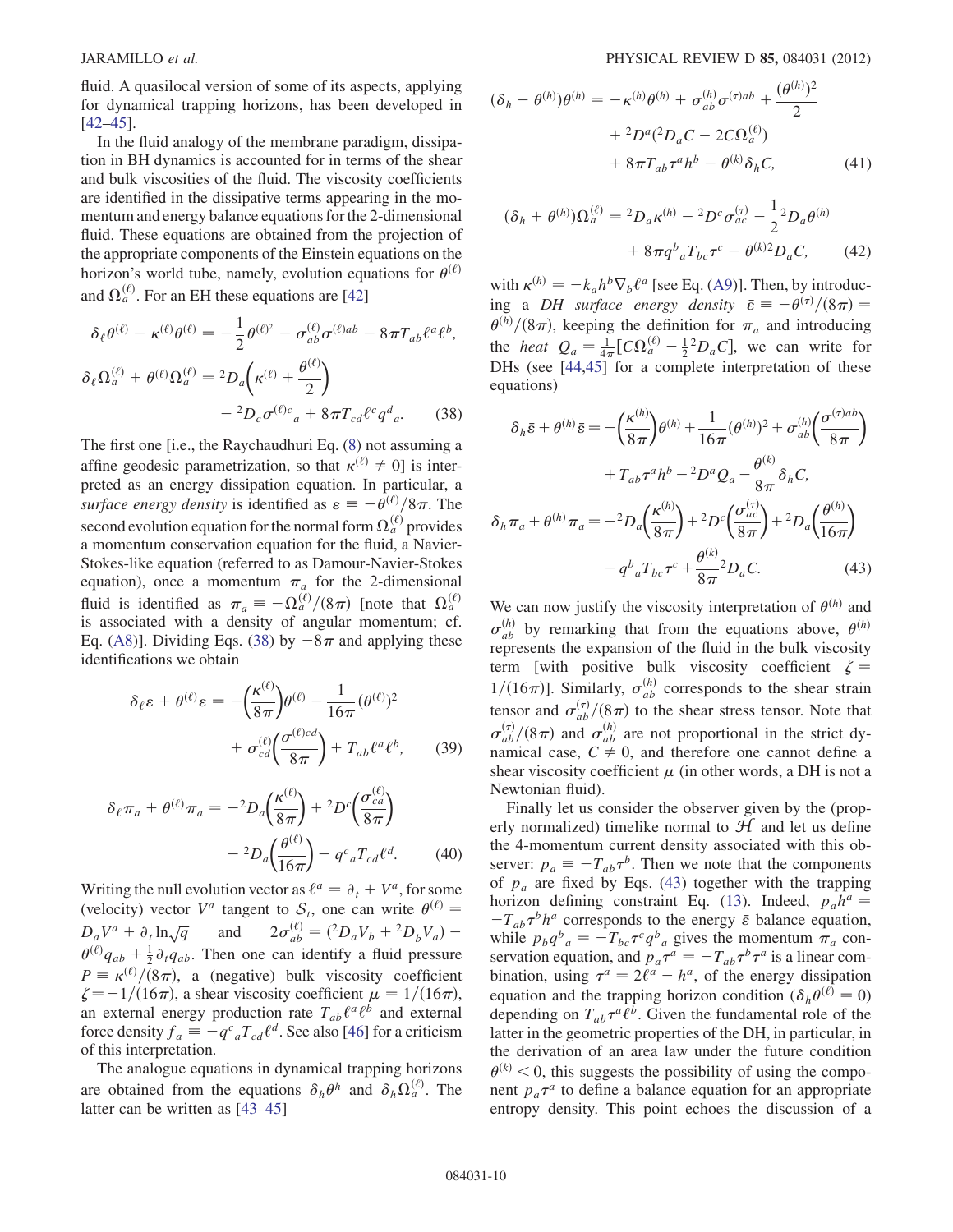fluid. A quasilocal version of some of its aspects, applying for dynamical trapping horizons, has been developed in [\[42–](#page-14-37)[45\]](#page-14-38).

In the fluid analogy of the membrane paradigm, dissipation in BH dynamics is accounted for in terms of the shear and bulk viscosities of the fluid. The viscosity coefficients are identified in the dissipative terms appearing in the momentum and energy balance equations for the 2-dimensional fluid. These equations are obtained from the projection of the appropriate components of the Einstein equations on the horizon's world tube, namely, evolution equations for  $\theta^{(\ell)}$ and  $\Omega_a^{(\ell)}$ . For an EH these equations are [\[42\]](#page-14-37)

<span id="page-9-0"></span>
$$
\delta_{\ell}\theta^{(\ell)} - \kappa^{(\ell)}\theta^{(\ell)} = -\frac{1}{2}\theta^{(\ell)^2} - \sigma_{ab}^{(\ell)}\sigma^{(\ell)ab} - 8\pi T_{ab}\ell^a\ell^b,
$$
  

$$
\delta_{\ell}\Omega_a^{(\ell)} + \theta^{(\ell)}\Omega_a^{(\ell)} = {}^2D_a\left(\kappa^{(\ell)} + \frac{\theta^{(\ell)}}{2}\right) - {}^2D_c\sigma^{(\ell)c}{}_a + 8\pi T_{cd}\ell^c q^d{}_a. \tag{38}
$$

The first one [i.e., the Raychaudhuri Eq. ([8\)](#page-3-2) not assuming a affine geodesic parametrization, so that  $\kappa^{(\ell)} \neq 0$ ] is interpreted as an energy dissipation equation. In particular, a surface energy density is identified as  $\varepsilon \equiv -\theta^{(\ell)}/8\pi$ . The second evolution equation for the normal form  $\Omega_a^{(\ell)}$  provides a momentum conservation equation for the fluid, a Navier-Stokes-like equation (referred to as Damour-Navier-Stokes equation), once a momentum  $\pi_a$  for the 2-dimensional fluid is identified as  $\pi_a \equiv -\Omega_a^{(\ell)}/(8\pi)$  [note that  $\Omega_a^{(\ell)}$ ] is associated with a density of angular momentum; cf. Eq. ([A8](#page-11-5))]. Dividing Eqs. ([38\)](#page-9-0) by  $-8\pi$  and applying these identifications we obtain identifications we obtain

$$
\delta_{\ell} \varepsilon + \theta^{(\ell)} \varepsilon = -\left(\frac{\kappa^{(\ell)}}{8\pi}\right) \theta^{(\ell)} - \frac{1}{16\pi} (\theta^{(\ell)})^2 + \sigma_{cd}^{(\ell)} \left(\frac{\sigma^{(\ell)cd}}{8\pi}\right) + T_{ab} \ell^a \ell^b, \qquad (39)
$$

$$
\delta_{\ell}\pi_{a} + \theta^{(\ell)}\pi_{a} = -{}^{2}D_{a}\left(\frac{\kappa^{(\ell)}}{8\pi}\right) + {}^{2}D^{c}\left(\frac{\sigma_{ca}^{(\ell)}}{8\pi}\right)
$$

$$
-{}^{2}D_{a}\left(\frac{\theta^{(\ell)}}{16\pi}\right) - q^{c}{}_{a}T_{cd}\ell^{d}.
$$
(40)

Writing the null evolution vector as  $\ell^a = \partial_t + V^a$ , for some (velocity) vector  $V^a$  tangent to  $S_t$ , one can write  $\theta^{(\ell)}$  =  $D_a V^a + \partial_t \ln \sqrt{q}$  and  $2\sigma_{ab}^{(\ell)}$  $\begin{array}{l} \n\frac{d}{db} = \left( \frac{2}{b} D_a V_b + \frac{2}{b} D_b V_a \right) - \n\end{array}$  $\theta^{(\ell)}q_{ab} + \frac{1}{2}\partial_{\ell}q_{ab}$ . Then one can identify a fluid pressure  $P = \kappa^{(\ell)}/(8\pi)$ , a (negative) bulk viscosity coefficient  $\zeta = -1/(16\pi)$  a shear viscosity coefficient  $\mu = 1/(16\pi)$  $\zeta = -1/(16\pi)$ , a shear viscosity coefficient  $\mu = 1/(16\pi)$ ,<br>an external energy production rate  $T$ ,  $\ell^{a} \ell^{b}$  and external an external energy production rate  $T_{ab}\ell^a\ell^b$  and external force density  $f_a \equiv -q^c{}_a T_{cd} \ell^d$ . See also [[46\]](#page-14-39) for a criticism<br>of this interpretation of this interpretation.

The analogue equations in dynamical trapping horizons are obtained from the equations  $\delta_h \theta^h$  and  $\delta_h \Omega_a^{(\ell)}$ . The latter can be written as [[43](#page-14-40)–[45](#page-14-38)]

$$
(\delta_h + \theta^{(h)})\theta^{(h)} = -\kappa^{(h)}\theta^{(h)} + \sigma_{ab}^{(h)}\sigma^{(\tau)ab} + \frac{(\theta^{(h)})^2}{2} + \frac{^2D^a(^2D_aC - 2C\Omega_a^{(\ell)})}{+8\pi T_{ab}\tau^a h^b - \theta^{(k)}\delta_h C},
$$
(41)

$$
(\delta_h + \theta^{(h)})\Omega_a^{(\ell)} = {}^2D_a\kappa^{(h)} - {}^2D^c\sigma_{ac}^{(\tau)} - \frac{1}{2}{}^2D_a\theta^{(h)} + 8\pi q^b{}_aT_{bc}\tau^c - \theta^{(k)}{}^2D_aC,
$$
 (42)

<span id="page-9-2"></span>with  $\kappa^{(h)} = -k_a h^b \nabla_b \ell^a$  [see Eq. [\(A9\)](#page-11-4)]. Then, by introduc-<br>ing a DH surface energy density  $\bar{\epsilon} = -\theta^{(\tau)}/(8\pi) =$ ing a *DH surface energy density*  $\bar{\varepsilon} \equiv -\theta^{(\tau)}/(8\pi) =$ <br> $\theta^{(h)}/(8\pi)$  keeping the definition for  $\pi$  and introducing  $\theta^{(h)}/(8\pi)$ , keeping the definition for  $\pi_a$  and introducing<br>the heat  $Q = \frac{1}{2} \Gamma G(\theta)$  and  $\Gamma$  we can write for the *heat*  $Q_a = \frac{1}{4\pi} [C\Omega_a^{(\ell)} - \frac{1}{2}^2 D_a C]$ , we can write for<br>DHs (see [44.45] for a complete interpretation of these DHs (see [\[44,](#page-14-41)[45\]](#page-14-38) for a complete interpretation of these equations)

<span id="page-9-1"></span>
$$
\delta_{h}\bar{e} + \theta^{(h)}\bar{e} = -\left(\frac{\kappa^{(h)}}{8\pi}\right)\theta^{(h)} + \frac{1}{16\pi}(\theta^{(h)})^2 + \sigma_{ab}^{(h)}\left(\frac{\sigma^{(\tau)ab}}{8\pi}\right) \n+ T_{ab}\tau^{a}h^{b} - 2D^{a}Q_{a} - \frac{\theta^{(k)}}{8\pi}\delta_{h}C, \n\delta_{h}\pi_{a} + \theta^{(h)}\pi_{a} = -2D_{a}\left(\frac{\kappa^{(h)}}{8\pi}\right) + 2D^{c}\left(\frac{\sigma_{ac}^{(\tau)}}{8\pi}\right) + 2D_{a}\left(\frac{\theta^{(h)}}{16\pi}\right) \n- q^{b}{}_{a}T_{bc}\tau^{c} + \frac{\theta^{(k)}}{8\pi}^{2}D_{a}C.
$$
\n(43)

We can now justify the viscosity interpretation of  $\theta^{(h)}$  and  $\sigma_{ab}^{(h)}$  by remarking that from the equations above,  $\theta^{(h)}$ represents the expansion of the fluid in the bulk viscosity term [with positive bulk viscosity coefficient  $\zeta =$  $1/(16\pi)$ ]. Similarly,  $\sigma_{ab}^{(h)}$  corresponds to the shear strain tensor and  $\sigma_{ab}^{(\tau)}/(8\pi)$  to the shear stress tensor. Note that  $\sigma_{ab}^{(\tau)}/(8\pi)$  and  $\sigma_{ab}^{(h)}$  are not proportional in the strict dy-<br>namical case  $C \neq 0$  and therefore one cannot define a namical case,  $C \neq 0$ , and therefore one cannot define a shear viscosity coefficient  $\mu$  (in other words, a DH is not a Newtonian fluid).

Finally let us consider the observer given by the (properly normalized) timelike normal to  $H$  and let us define the 4-momentum current density associated with this observer:  $p_a \equiv -T_{ab}\tau^b$ . Then we note that the components<br>of *p* are fixed by Eqs. (43) together with the trapping of  $p_a$  are fixed by Eqs. [\(43\)](#page-9-1) together with the trapping horizon defining constraint Eq. [\(13\)](#page-5-1). Indeed,  $p_a h^a =$ while  $p_b q^b{}_a = -T_{bc} \tau^c q^b{}_a$  gives the momentum  $\pi_a$  con-<br>servation equation and  $p_a \tau^a = -T_{bc} \tau^b \tau^a$  is a linear com- $-T_{ab}\tau^b h^a$  corresponds to the energy  $\bar{\varepsilon}$  balance equation, servation equation, and  $p_a \tau^a = -T_{ab} \tau^b \tau^a$  is a linear com-<br>bination using  $\tau^a = 2\ell^a - h^a$  of the energy dissipation bination, using  $\tau^a = 2\ell^a - h^a$ , of the energy dissipation<br>equation and the transition borizon condition  $(\delta, \theta^{(\ell)} = 0)$ equation and the trapping horizon condition ( $\delta_h \theta^{(\ell)} = 0$ ) depending on  $T_{ab}\tau^a\ell^b$ . Given the fundamental role of the latter in the geometric properties of the DH, in particular, in the derivation of an area law under the future condition  $\theta^{(k)}$  < 0, this suggests the possibility of using the component  $p_a \tau^a$  to define a balance equation for an appropriate entropy density. This point echoes the discussion of a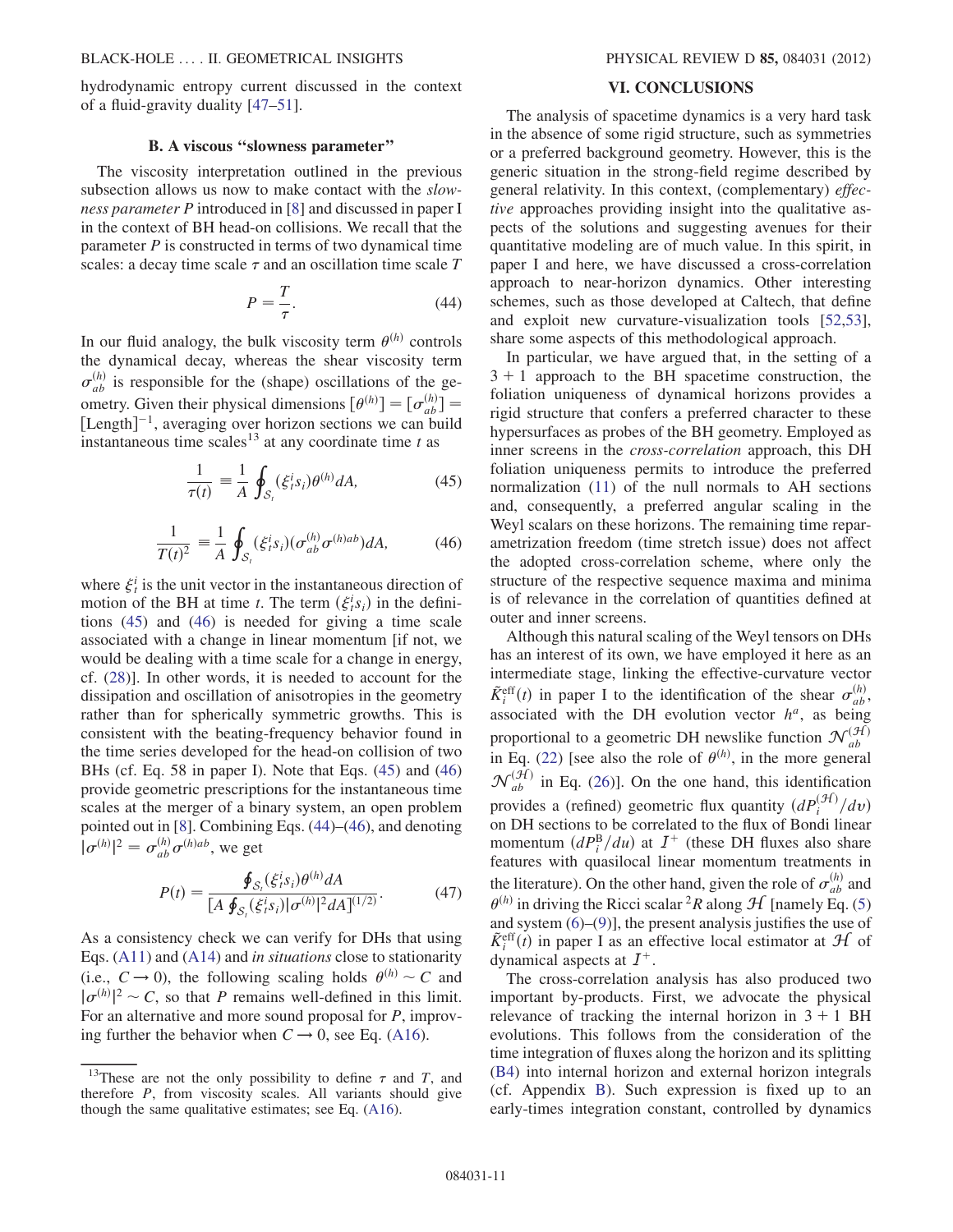hydrodynamic entropy current discussed in the context of a fluid-gravity duality [\[47–](#page-14-42)[51\]](#page-14-43).

# B. A viscous ''slowness parameter''

The viscosity interpretation outlined in the previous subsection allows us now to make contact with the *slow*ness parameter P introduced in [\[8\]](#page-14-6) and discussed in paper I in the context of BH head-on collisions. We recall that the parameter  $P$  is constructed in terms of two dynamical time scales: a decay time scale  $\tau$  and an oscillation time scale  $T$ 

$$
P = \frac{T}{\tau}.\tag{44}
$$

<span id="page-10-3"></span><span id="page-10-2"></span>In our fluid analogy, the bulk viscosity term  $\theta^{(h)}$  controls the dynamical decay, whereas the shear viscosity term  $\sigma_{ab}^{(h)}$  is responsible for the (shape) oscillations of the geometry. Given their physical dimensions  $[\theta^{(h)}] = [\sigma_{ab}^{(h)}]$ <br>[Length]<sup>-1</sup> averaging over horizon sections we can b Using the US and the physical dimensions  $[\psi^{\alpha}] = [\psi_{ab}]$ <br>
[Length]<sup>-1</sup>, averaging over horizon sections we can build<br>
instantaneous time scales<sup>13</sup> at any coordinate time t as instantaneous time scales<sup>13</sup> at any coordinate time  $t$  as

$$
\frac{1}{\tau(t)} \equiv \frac{1}{A} \oint_{\mathcal{S}_t} (\xi_i^i s_i) \theta^{(h)} dA,\tag{45}
$$

$$
\frac{1}{T(t)^2} \equiv \frac{1}{A} \oint_{\mathcal{S}_t} (\xi_i^i s_i) (\sigma_{ab}^{(h)} \sigma^{(h)ab}) dA, \tag{46}
$$

<span id="page-10-1"></span>where  $\xi_t^i$  is the unit vector in the instantaneous direction of motion of the BH at time t. The term  $(\xi_i^i s_i)$  in the definitions (45) and (46) is needed for giving a time scale tions [\(45\)](#page-10-1) and ([46](#page-10-2)) is needed for giving a time scale associated with a change in linear momentum [if not, we would be dealing with a time scale for a change in energy, cf. [\(28\)](#page-7-0)]. In other words, it is needed to account for the dissipation and oscillation of anisotropies in the geometry rather than for spherically symmetric growths. This is consistent with the beating-frequency behavior found in the time series developed for the head-on collision of two BHs (cf. Eq. 58 in paper I). Note that Eqs. [\(45\)](#page-10-1) and [\(46\)](#page-10-2) provide geometric prescriptions for the instantaneous time scales at the merger of a binary system, an open problem pointed out in [[8](#page-14-6)]. Combining Eqs. ([44](#page-10-3))–[\(46\)](#page-10-2), and denoting  $|\sigma^{(h)}|$  $a^2 = \sigma_{ab}^{(h)} \sigma_{(h)ab}$ , we get

<span id="page-10-4"></span>
$$
P(t) = \frac{\oint_{\mathcal{S}_i} (\xi_i^i s_i) \theta^{(h)} dA}{[A \oint_{\mathcal{S}_i} (\xi_i^i s_i) | \sigma^{(h)}|^2 dA]^{(1/2)}}.
$$
(47)

As a consistency check we can verify for DHs that using Eqs. [\(A11\)](#page-12-1) and ([A14\)](#page-12-4) and in situations close to stationarity (i.e.,  $C \rightarrow 0$ ), the following scaling holds  $\theta^{(h)} \sim C$  and  $|\sigma^{(h)}|^2 \sim C$ , so that P remains well-defined in this limit.<br>For an alternative and more sound proposal for P improv-For an alternative and more sound proposal for P, improving further the behavior when  $C \rightarrow 0$ , see Eq. [\(A16](#page-12-5)).

#### VI. CONCLUSIONS

<span id="page-10-0"></span>The analysis of spacetime dynamics is a very hard task in the absence of some rigid structure, such as symmetries or a preferred background geometry. However, this is the generic situation in the strong-field regime described by general relativity. In this context, (complementary) effective approaches providing insight into the qualitative aspects of the solutions and suggesting avenues for their quantitative modeling are of much value. In this spirit, in paper I and here, we have discussed a cross-correlation approach to near-horizon dynamics. Other interesting schemes, such as those developed at Caltech, that define and exploit new curvature-visualization tools [\[52,](#page-14-44)[53\]](#page-14-45), share some aspects of this methodological approach.

In particular, we have argued that, in the setting of a  $3 + 1$  approach to the BH spacetime construction, the foliation uniqueness of dynamical horizons provides a rigid structure that confers a preferred character to these hypersurfaces as probes of the BH geometry. Employed as inner screens in the cross-correlation approach, this DH foliation uniqueness permits to introduce the preferred normalization ([11](#page-5-4)) of the null normals to AH sections and, consequently, a preferred angular scaling in the Weyl scalars on these horizons. The remaining time reparametrization freedom (time stretch issue) does not affect the adopted cross-correlation scheme, where only the structure of the respective sequence maxima and minima is of relevance in the correlation of quantities defined at outer and inner screens.

Although this natural scaling of the Weyl tensors on DHs has an interest of its own, we have employed it here as an intermediate stage, linking the effective-curvature vector  $\tilde{K}^{\text{eff}}_i(t)$  in paper I to the identification of the shear  $\sigma_{ab}^{(h)}$ ,<br>associated with the DH evolution vector  $h^a$  as being associated with the DH evolution vector  $h^a$ , as being proportional to a geometric DH newslike function  $\mathcal{N}_{ab}^{(\mathcal{H})}$ in Eq. ([22](#page-6-1)) [see also the role of  $\theta^{(h)}$ , in the more general  $\mathcal{N}_{ab}^{(\mathcal{H})}$  in Eq. [\(26\)](#page-6-3)]. On the one hand, this identification provides a (refined) geometric flux quantity  $\left(dP_i^{(\mathcal{H})}/dv\right)$ <br>on DH sections to be correlated to the flux of Bondi linear on DH sections to be correlated to the flux of Bondi linear momentum  $\left(dP_{\mu}^{B}/du\right)$  at  $I^{+}$  (these DH fluxes also share<br>features with quasilocal linear momentum treatments in features with quasilocal linear momentum treatments in the literature). On the other hand, given the role of  $\sigma_{ab}^{(h)}$  and  $\theta^{(h)}$  in driving the Ricci scalar <sup>2</sup>R along  $\mathcal{H}$  [namely Eq. [\(5\)](#page-2-2) and system  $(6)$  $(6)$ – $(9)$  $(9)$ ], the present analysis justifies the use of  $\tilde{K}_{t}^{\text{eff}}(t)$  in paper I as an effective local estimator at  $H$  of dynamical aspects at  $I^{+}$ dynamical aspects at  $I^+$ .

The cross-correlation analysis has also produced two important by-products. First, we advocate the physical relevance of tracking the internal horizon in  $3 + 1$  BH evolutions. This follows from the consideration of the time integration of fluxes along the horizon and its splitting [\(B4\)](#page-13-1) into internal horizon and external horizon integrals (cf. Appendix [B\)](#page-13-0). Such expression is fixed up to an early-times integration constant, controlled by dynamics

<sup>&</sup>lt;sup>13</sup>These are not the only possibility to define  $\tau$  and T, and therefore P, from viscosity scales. All variants should give though the same qualitative estimates; see Eq. ([A16](#page-12-5)).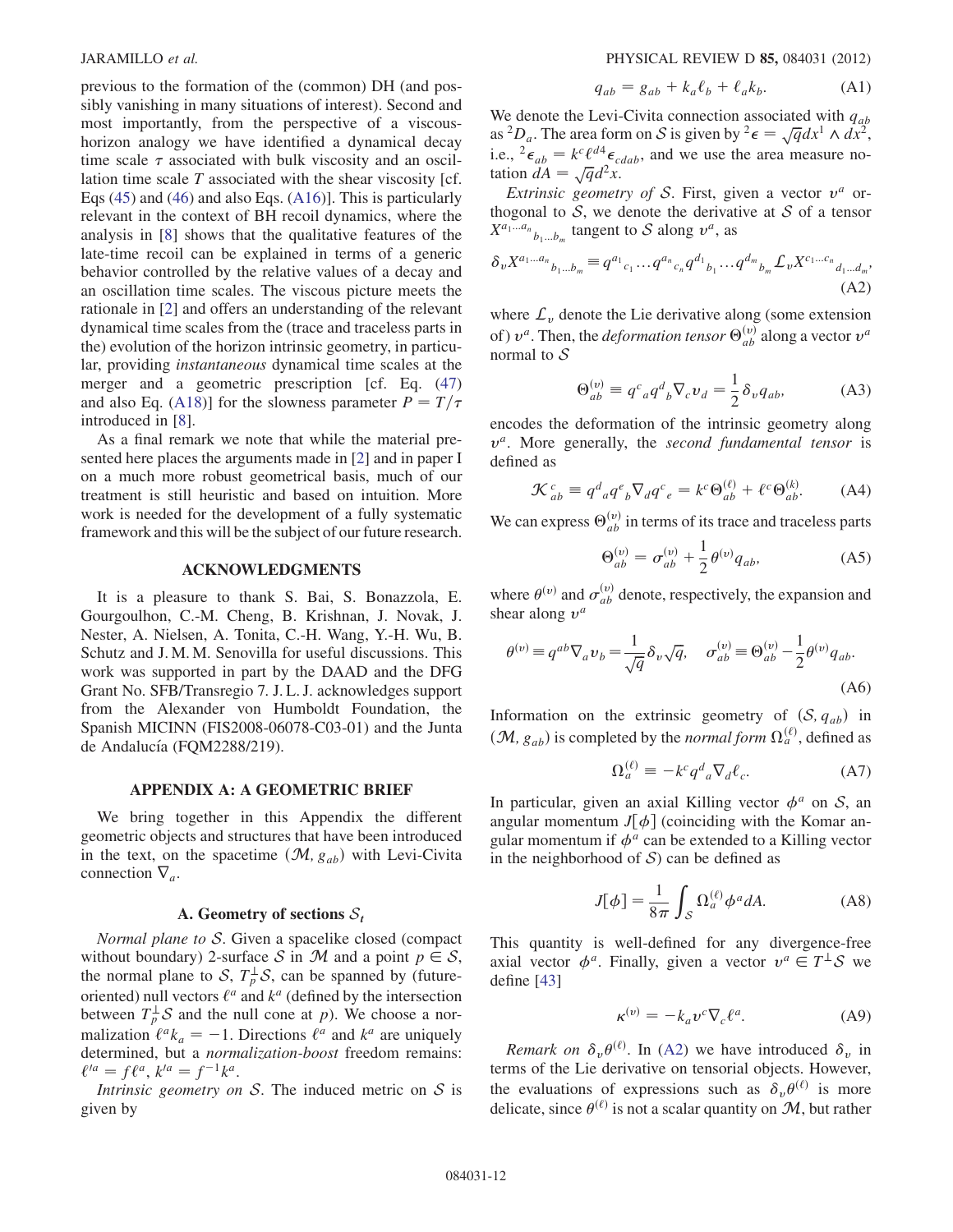previous to the formation of the (common) DH (and possibly vanishing in many situations of interest). Second and most importantly, from the perspective of a viscoushorizon analogy we have identified a dynamical decay time scale  $\tau$  associated with bulk viscosity and an oscillation time scale  $T$  associated with the shear viscosity [cf. Eqs ([45\)](#page-10-1) and ([46](#page-10-2)) and also Eqs. [\(A16](#page-12-5))]. This is particularly relevant in the context of BH recoil dynamics, where the analysis in [[8\]](#page-14-6) shows that the qualitative features of the late-time recoil can be explained in terms of a generic behavior controlled by the relative values of a decay and an oscillation time scales. The viscous picture meets the rationale in [[2](#page-14-5)] and offers an understanding of the relevant dynamical time scales from the (trace and traceless parts in the) evolution of the horizon intrinsic geometry, in particular, providing instantaneous dynamical time scales at the merger and a geometric prescription [cf. Eq. [\(47\)](#page-10-4) and also Eq. ([A18\)](#page-12-6)] for the slowness parameter  $P = T/\tau$ introduced in [[8\]](#page-14-6).

As a final remark we note that while the material presented here places the arguments made in [\[2](#page-14-5)] and in paper I on a much more robust geometrical basis, much of our treatment is still heuristic and based on intuition. More work is needed for the development of a fully systematic framework and this will be the subject of our future research.

#### ACKNOWLEDGMENTS

It is a pleasure to thank S. Bai, S. Bonazzola, E. Gourgoulhon, C.-M. Cheng, B. Krishnan, J. Novak, J. Nester, A. Nielsen, A. Tonita, C.-H. Wang, Y.-H. Wu, B. Schutz and J. M. M. Senovilla for useful discussions. This work was supported in part by the DAAD and the DFG Grant No. SFB/Transregio 7. J. L. J. acknowledges support from the Alexander von Humboldt Foundation, the Spanish MICINN (FIS2008-06078-C03-01) and the Junta de Andalucía (FQM2288/219).

### APPENDIX A: A GEOMETRIC BRIEF

<span id="page-11-1"></span>We bring together in this Appendix the different geometric objects and structures that have been introduced in the text, on the spacetime  $(\mathcal{M}, g_{ab})$  with Levi-Civita connection  $\nabla_a$ .

#### A. Geometry of sections  $S_t$

Normal plane to  $S$ . Given a spacelike closed (compact without boundary) 2-surface S in M and a point  $p \in S$ , the normal plane to S,  $T_p^{\perp}$ S, can be spanned by (futureoriented) null vectors  $\ell^a$  and  $k^a$  (defined by the intersection between  $T_p^{\perp} \mathcal{S}$  and the null cone at p). We choose a normalization  $\ell^a k_a = -1$ . Directions  $\ell^a$  and  $k^a$  are uniquely determined but a *normalization-boost* freedom remains: determined, but a normalization-boost freedom remains:  $\ell^{ia} = f\ell^a, k^{ia} = f^{-1}k^a.$ <br>Intrinsic geometry or

Intrinsic geometry on  $S$ . The induced metric on  $S$  is given by

$$
q_{ab} = g_{ab} + k_a \ell_b + \ell_a k_b. \tag{A1}
$$

We denote the Levi-Civita connection associated with  $q_{ab}$ as <sup>2</sup>D<sub>a</sub>. The area form on S is given by <sup>2</sup> $\epsilon = \sqrt{q} dx^1 \wedge dx^2$ ,<br>i.e.  $\frac{2}{\epsilon} = k^c \ell^{d4} \epsilon$  and we use the area measure noi.e.,  ${}^{2} \epsilon_{ab} = k^{c} \ell^{d4} \epsilon_{cdab}$ , and we use the area measure no-<br>tation  $dA = \sqrt{d} \ell^{2} r$ tation  $dA = \sqrt{q}d^2x$ .<br>Extrinsic geometric

Extrinsic geometry of S. First, given a vector  $v^a$  orthogonal to  $S$ , we denote the derivative at  $S$  of a tensor  $X^{a_1...a_n}$ <sub>b<sub>1</sub>...b<sub>m</sub> tangent to S along  $v^a$ , as</sub>

<span id="page-11-3"></span>
$$
\delta_{v} X^{a_1 \dots a_n}{}_{b_1 \dots b_m} \equiv q^{a_1}{}_{c_1} \dots q^{a_n}{}_{c_n} q^{d_1}{}_{b_1} \dots q^{d_m}{}_{b_m} \mathcal{L}_v X^{c_1 \dots c_n}{}_{d_1 \dots d_m},
$$
\n(A2)

<span id="page-11-0"></span>where  $\mathcal{L}_v$  denote the Lie derivative along (some extension of)  $v^a$ . Then, the *deformation tensor*  $\Theta_{ab}^{(v)}$  along a vector  $v^a$ normal to  $S$ 

$$
\Theta_{ab}^{(v)} \equiv q^c{}_a q^d{}_b \nabla_c v_d = \frac{1}{2} \delta_v q_{ab}, \tag{A3}
$$

encodes the deformation of the intrinsic geometry along  $v^a$ . More generally, the second fundamental tensor is defined as

$$
\mathcal{K}_{ab}^c \equiv q^d{}_a q^e{}_b \nabla_d q^c{}_e = k^c \Theta_{ab}^{(\ell)} + \ell^c \Theta_{ab}^{(\ell)}.
$$
 (A4)

We can express  $\Theta_{ab}^{(v)}$  in terms of its trace and traceless parts

$$
\Theta_{ab}^{(v)} = \sigma_{ab}^{(v)} + \frac{1}{2} \theta^{(v)} q_{ab}, \tag{A5}
$$

<span id="page-11-2"></span>where  $\theta^{(v)}$  and  $\sigma_{ab}^{(v)}$  denote, respectively, the expansion and shear along  $v^a$ 

$$
\theta^{(v)} \equiv q^{ab} \nabla_a v_b = \frac{1}{\sqrt{q}} \delta_v \sqrt{q}, \quad \sigma_{ab}^{(v)} \equiv \Theta_{ab}^{(v)} - \frac{1}{2} \theta^{(v)} q_{ab}.
$$
\n(A6)

Information on the extrinsic geometry of  $(S, q_{ab})$  in  $(\mathcal{M}, g_{ab})$  is completed by the *normal form*  $\Omega_a^{(\ell)}$ , defined as

$$
\Omega_a^{(\ell)} \equiv -k^c q^d{}_a \nabla_d \ell_c. \tag{A7}
$$

<span id="page-11-5"></span>In particular, given an axial Killing vector  $\phi^a$  on S, an angular momentum  $J[\phi]$  (coinciding with the Komar angular momentum if  $\phi^a$  can be extended to a Killing vector in the neighborhood of  $S$ ) can be defined as

$$
J[\phi] = \frac{1}{8\pi} \int_{\mathcal{S}} \Omega_a^{(\ell)} \phi^a dA. \tag{A8}
$$

<span id="page-11-4"></span>This quantity is well-defined for any divergence-free axial vector  $\phi^a$ . Finally, given a vector  $v^a \in T^{\perp}S$  we define [\[43\]](#page-14-40)

$$
\kappa^{(\nu)} = -k_a v^c \nabla_c \ell^a. \tag{A9}
$$

*Remark on*  $\delta_v \theta^{(\ell)}$ . In [\(A2](#page-11-3)) we have introduced  $\delta_v$  in terms of the Lie derivative on tensorial objects. However, the evaluations of expressions such as  $\delta_{\nu}\theta^{(\ell)}$  is more delicate, since  $\theta^{(\ell)}$  is not a scalar quantity on M, but rather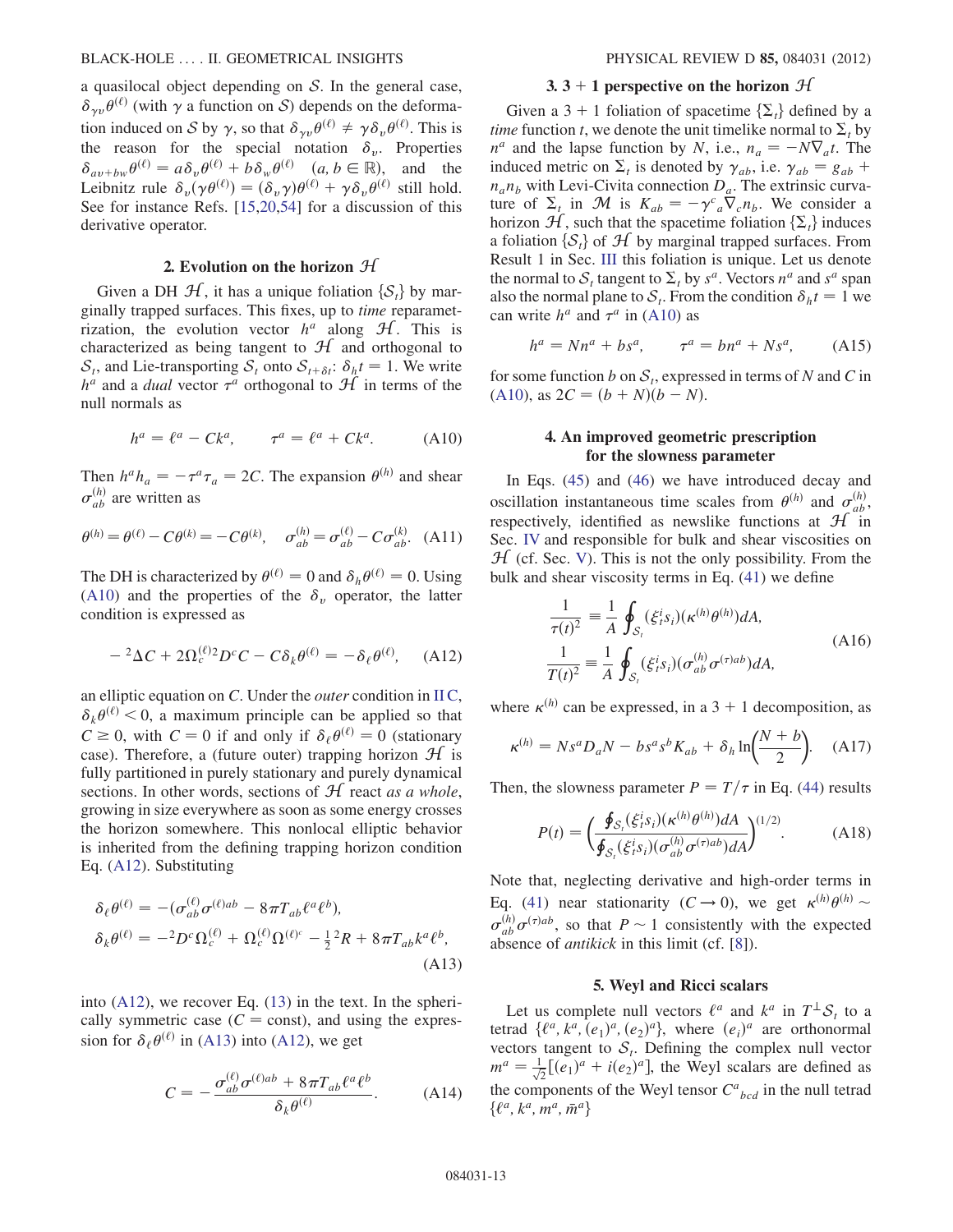a quasilocal object depending on  $S$ . In the general case,  $\delta_{\gamma\nu}\theta^{(\ell)}$  (with  $\gamma$  a function on S) depends on the deformation induced on S by  $\gamma$ , so that  $\delta_{\gamma\nu}\theta^{(\ell)} \neq \gamma \delta_{\nu}\theta^{(\ell)}$ . This is the reason for the special notation  $\delta_{\nu}$ . Properties  $\delta_{av+bw}\theta^{(\ell)} = a\delta_v\theta^{(\ell)} + b\delta_w\theta^{(\ell)}$   $(a, b \in \mathbb{R})$ , and the Leibnitz rule  $\delta_{\nu}(\gamma \theta^{(\ell)}) = (\delta_{\nu} \gamma) \theta^{(\ell)} + \gamma \delta_{\nu} \theta^{(\ell)}$  still hold.<br>See for instance Refs. [15.20.54] for a discussion of this See for instance Refs. [[15](#page-14-11)[,20](#page-14-17)[,54\]](#page-14-46) for a discussion of this derivative operator.

#### 2. Evolution on the horizon  $H$

Given a DH  $\mathcal{H}$ , it has a unique foliation  $\{S_t\}$  by marginally trapped surfaces. This fixes, up to time reparametrization, the evolution vector  $h^a$  along  $H$ . This is characterized as being tangent to  $H$  and orthogonal to  $S_t$ , and Lie-transporting  $S_t$  onto  $S_{t+\delta t}$ :  $\delta_h t = 1$ . We write  $h^a$  and a *dual* vector  $\tau^a$  orthogonal to  $H$  in terms of the null normals as

<span id="page-12-2"></span>
$$
h^a = \ell^a - Ck^a, \qquad \tau^a = \ell^a + Ck^a. \tag{A10}
$$

<span id="page-12-1"></span>Then  $h^a h_a = -\tau^a \tau_a = 2C$ . The expansion  $\theta^{(h)}$  and shear  $\sigma_{ab}^{(h)}$  are written as

$$
\theta^{(h)} = \theta^{(\ell)} - C\theta^{(k)} = -C\theta^{(k)}, \quad \sigma_{ab}^{(h)} = \sigma_{ab}^{(\ell)} - C\sigma_{ab}^{(k)}.
$$
 (A11)

<span id="page-12-0"></span>The DH is characterized by  $\theta^{(\ell)} = 0$  and  $\delta_h \theta^{(\ell)} = 0$ . Using [\(A10](#page-12-2)) and the properties of the  $\delta_{\nu}$  operator, the latter condition is expressed as

$$
-{}^{2}\Delta C + 2\Omega_{c}^{(\ell)}{}^{2}D^{c}C - C\delta_{k}\theta^{(\ell)} = -\delta_{\ell}\theta^{(\ell)}, \quad \text{(A12)}
$$

an elliptic equation on  $C$ . Under the *outer* condition in  $\Pi C$ ,  $\delta_k \theta^{(\ell)}$  < 0, a maximum principle can be applied so that  $C \ge 0$ , with  $C = 0$  if and only if  $\delta_{\ell} \theta^{(\ell)} = 0$  (stationary case). Therefore, a (future outer) trapping horizon  $H$  is fully partitioned in purely stationary and purely dynamical sections. In other words, sections of  $H$  react as a whole, growing in size everywhere as soon as some energy crosses the horizon somewhere. This nonlocal elliptic behavior is inherited from the defining trapping horizon condition Eq. ([A12\)](#page-12-0). Substituting

<span id="page-12-7"></span>
$$
\delta_{\ell}\theta^{(\ell)} = -(\sigma_{ab}^{(\ell)}\sigma^{(\ell)ab} - 8\pi T_{ab}\ell^a\ell^b),
$$
  
\n
$$
\delta_{k}\theta^{(\ell)} = -{}^2D^c\Omega_c^{(\ell)} + \Omega_c^{(\ell)}\Omega^{(\ell)^c} - \frac{1}{2}{}^2R + 8\pi T_{ab}k^a\ell^b,
$$
  
\n(A13)

<span id="page-12-4"></span>into [\(A12](#page-12-0)), we recover Eq. [\(13\)](#page-5-1) in the text. In the spherically symmetric case ( $C =$ const), and using the expression for  $\delta_{\ell} \theta^{(\ell)}$  in ([A13\)](#page-12-7) into ([A12\)](#page-12-0), we get

$$
C = -\frac{\sigma_{ab}^{(\ell)}\sigma^{(\ell)ab} + 8\pi T_{ab}\ell^a\ell^b}{\delta_k\theta^{(\ell)}}.
$$
 (A14)

#### 3. 3 + 1 perspective on the horizon  $\mathcal{H}$

Given a 3 + 1 foliation of spacetime  $\{\Sigma_t\}$  defined by a *time* function *t*, we denote the unit timelike normal to  $\Sigma_t$  by  $n^a$  and the lapse function by N, i.e.,  $n_a = -N\nabla_a t$ . The  $N\nabla_a t$ . The induced metric on  $\Sigma_t$  is denoted by  $\gamma_{ab}$ , i.e.  $\gamma_{ab} = g_{ab} +$ <br>*n* n, with Levi-Civita connection D. The extrinsic curva $n_a n_b$  with Levi-Civita connection  $D_a$ . The extrinsic curvature of  $\Sigma_t$  in M is  $K_{ab} = -\gamma^c{}_a \nabla_c n_b$ . We consider a horizon H such that the spacetime foliation  $\{\Sigma_a\}$  induces horizon  $\mathcal{H}$ , such that the spacetime foliation  $\{\Sigma_t\}$  induces a foliation  $\{S_t\}$  of  $H$  by marginal trapped surfaces. From Result 1 in Sec. [III](#page-4-0) this foliation is unique. Let us denote the normal to  $S_t$  tangent to  $\Sigma_t$  by  $s^a$ . Vectors  $n^a$  and  $s^a$  span also the normal plane to  $S_t$ . From the condition  $\delta_h t = 1$  we can write  $h^a$  and  $\tau^a$  in [\(A10](#page-12-2)) as

<span id="page-12-3"></span>
$$
h^a = Nn^a + bs^a, \qquad \tau^a = bn^a + Ns^a, \tag{A15}
$$

for some function b on  $S_t$ , expressed in terms of N and C in [\(A10](#page-12-2)), as  $2C = (b + N)(b - N)$ .

# 4. An improved geometric prescription for the slowness parameter

In Eqs. [\(45\)](#page-10-1) and ([46](#page-10-2)) we have introduced decay and oscillation instantaneous time scales from  $\theta^{(h)}$  and  $\sigma_{ab}^{(h)}$ , respectively, identified as newslike functions at  $\mathcal{H}$  in Sec. [IV](#page-5-0) and responsible for bulk and shear viscosities on  $H$  (cf. Sec. [V](#page-8-0)). This is not the only possibility. From the bulk and shear viscosity terms in Eq. [\(41\)](#page-9-2) we define

<span id="page-12-5"></span>
$$
\frac{1}{\tau(t)^2} \equiv \frac{1}{A} \oint_{S_t} (\xi_i^i s_i) (\kappa^{(h)} \theta^{(h)}) dA,
$$
\n
$$
\frac{1}{T(t)^2} \equiv \frac{1}{A} \oint_{S_t} (\xi_i^i s_i) (\sigma_{ab}^{(h)} \sigma^{(\tau)ab}) dA,
$$
\n(A16)

where  $\kappa^{(h)}$  can be expressed, in a 3 + 1 decomposition, as

$$
\kappa^{(h)} = Ns^a D_a N - b s^a s^b K_{ab} + \delta_h \ln\left(\frac{N+b}{2}\right). \quad (A17)
$$

<span id="page-12-6"></span>Then, the slowness parameter  $P = T/\tau$  in Eq. ([44](#page-10-3)) results

$$
P(t) = \left(\frac{\oint_{\mathcal{S}_t} (\xi_i^i s_i) (\kappa^{(h)} \theta^{(h)}) dA}{\oint_{\mathcal{S}_t} (\xi_i^i s_i) (\sigma_{ab}^{(h)} \sigma^{(\tau)ab}) dA}\right)^{(1/2)}.
$$
 (A18)

Note that, neglecting derivative and high-order terms in Eq. ([41](#page-9-2)) near stationarity  $(C \rightarrow 0)$ , we get  $\kappa^{(h)} \theta^{(h)} \sim$  $\sigma_{ab}^{(h)} \sigma^{(\tau)ab}$ , so that  $P \sim 1$  consistently with the expected absence of *antikick* in this limit (cf. [8]) absence of antikick in this limit (cf. [\[8\]](#page-14-6)).

### 5. Weyl and Ricci scalars

Let us complete null vectors  $\ell^a$  and  $k^a$  in  $T^{\perp}S_t$  to a tetrad  $\{\ell^a, k^a, (e_1)^a, (e_2)^a\}$ , where  $(e_i)^a$  are orthonormal<br>vectors tangent to S. Defining the complex pull vector vectors tangent to  $S_t$ . Defining the complex null vector  $m^a = \frac{1}{\sqrt{2}} [(e_1)^a + i(e_2)^a]$ , the Weyl scalars are defined as the components of the Weyl tensor  $C_{bcd}^a$  in the null tetrad  $\{\ell^a, k^a, m^a, \bar{m}^a\}$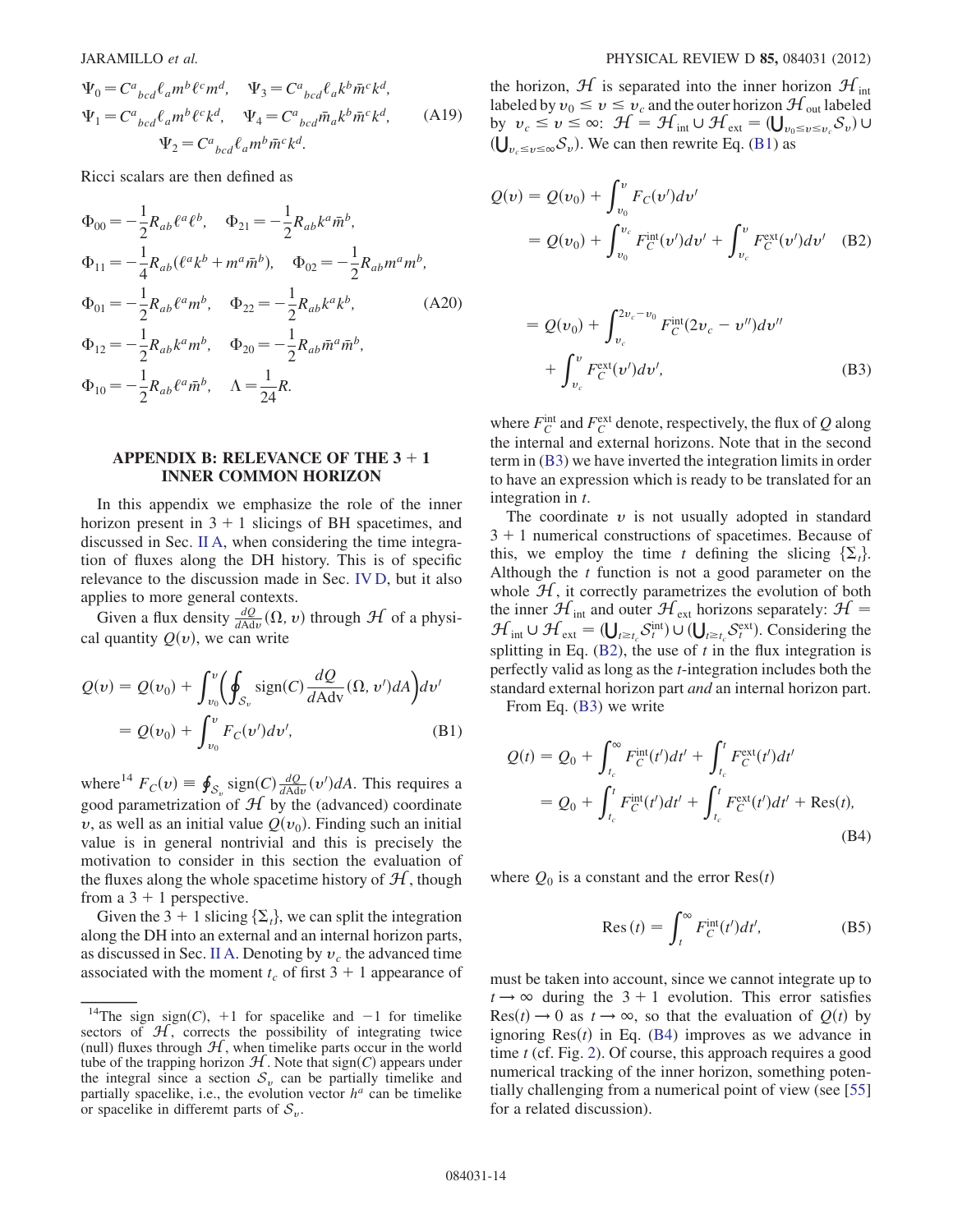$$
\Psi_0 = C^a{}_{bcd} \ell_a m^b \ell^c m^d, \quad \Psi_3 = C^a{}_{bcd} \ell_a k^b \bar{m}^c k^d,
$$
  

$$
\Psi_1 = C^a{}_{bcd} \ell_a m^b \ell^c k^d, \quad \Psi_4 = C^a{}_{bcd} \bar{m}_a k^b \bar{m}^c k^d,
$$
 (A19)  

$$
\Psi_2 = C^a{}_{bcd} \ell_a m^b \bar{m}^c k^d.
$$

Ricci scalars are then defined as

$$
\Phi_{00} = -\frac{1}{2} R_{ab} \ell^a \ell^b, \quad \Phi_{21} = -\frac{1}{2} R_{ab} k^a \bar{m}^b,
$$
  
\n
$$
\Phi_{11} = -\frac{1}{4} R_{ab} (\ell^a k^b + m^a \bar{m}^b), \quad \Phi_{02} = -\frac{1}{2} R_{ab} m^a m^b,
$$
  
\n
$$
\Phi_{01} = -\frac{1}{2} R_{ab} \ell^a m^b, \quad \Phi_{22} = -\frac{1}{2} R_{ab} k^a k^b,
$$
  
\n
$$
\Phi_{12} = -\frac{1}{2} R_{ab} k^a m^b, \quad \Phi_{20} = -\frac{1}{2} R_{ab} \bar{m}^a \bar{m}^b,
$$
  
\n
$$
\Phi_{10} = -\frac{1}{2} R_{ab} \ell^a \bar{m}^b, \quad \Lambda = \frac{1}{24} R.
$$
  
\n(A20)

#### <span id="page-13-0"></span>APPENDIX B: RELEVANCE OF THE  $3 + 1$ INNER COMMON HORIZON

In this appendix we emphasize the role of the inner horizon present in  $3 + 1$  slicings of BH spacetimes, and discussed in Sec. [II A](#page-1-4), when considering the time integration of fluxes along the DH history. This is of specific relevance to the discussion made in Sec. [IV D](#page-7-3), but it also applies to more general contexts.

<span id="page-13-2"></span>Given a flux density  $\frac{dQ}{dA d\nu}(\Omega, \nu)$  through  $\mathcal H$  of a physical quantity  $Q(v)$ , we can write

$$
Q(v) = Q(v_0) + \int_{v_0}^{v} \left( \oint_{S_v} sign(C) \frac{dQ}{dA dv} (\Omega, v') dA \right) dv'
$$
  
=  $Q(v_0) + \int_{v_0}^{v} F_C(v') dv',$  (B1)

where<sup>14</sup>  $F_C(v) = \oint_{S_v} sign(C) \frac{dQ}{dAdv}(v')dA$ . This requires a good permetrization of  $H$  by the (odynaced) coordinate good parametrization of  $H$  by the (advanced) coordinate v, as well as an initial value  $Q(v_0)$ . Finding such an initial value is in general nontrivial and this is precisely the motivation to consider in this section the evaluation of the fluxes along the whole spacetime history of  $H$ , though from a  $3 + 1$  perspective.

Given the 3 + 1 slicing  $\{\Sigma_t\}$ , we can split the integration along the DH into an external and an internal horizon parts, as discussed in Sec. [II A](#page-1-4). Denoting by  $v_c$  the advanced time associated with the moment  $t_c$  of first 3 + 1 appearance of

the horizon,  $\mathcal{H}$  is separated into the inner horizon  $\mathcal{H}_{int}$ labeled by  $v_0 \le v \le v_c$  and the outer horizon  $\mathcal{H}_{\text{out}}$  labeled by  $v_c \le v \le \infty$ :  $\mathcal{H} = \mathcal{H}_{int} \cup \mathcal{H}_{ext} = (\bigcup_{v_0 \le v \le v_c} S_v) \cup$ ð  $\bigcup_{v_c \le v \le \infty} S_v$ ). We can then rewrite Eq. ([B1\)](#page-13-2) as

<span id="page-13-3"></span>
$$
Q(v) = Q(v_0) + \int_{v_0}^{v} F_C(v')dv'
$$
  
=  $Q(v_0) + \int_{v_0}^{v_c} F_C^{\text{int}}(v')dv' + \int_{v_c}^{v} F_C^{\text{ext}}(v')dv'$  (B2)

<span id="page-13-4"></span>
$$
= Q(v_0) + \int_{v_c}^{2v_c - v_0} F_C^{\text{int}}(2v_c - v'')dv''
$$
  
+ 
$$
\int_{v_c}^{v} F_C^{\text{ext}}(v')dv', \tag{B3}
$$

where  $F_C^{\text{int}}$  and  $F_C^{\text{ext}}$  denote, respectively, the flux of Q along the internal and external horizons. Note that in the second term in ([B3](#page-13-3)) we have inverted the integration limits in order to have an expression which is ready to be translated for an integration in t.

The coordinate  $v$  is not usually adopted in standard  $3 + 1$  numerical constructions of spacetimes. Because of this, we employ the time t defining the slicing  $\{\Sigma_t\}$ . Although the  $t$  function is not a good parameter on the whole  $H$ , it correctly parametrizes the evolution of both the inner  $\mathcal{H}_{int}$  and outer  $\mathcal{H}_{ext}$  horizons separately:  $\mathcal{H}$  =  $\mathcal{H}_{int} \cup \mathcal{H}_{ext} = (\bigcup_{i \geq t_c} S_i^{int}) \cup (\bigcup_{i \geq t_c} S_i^{ext})$ . Considering the splitting in Eq. (B2), the use of t in the flux integration is splitting in Eq.  $(B2)$  $(B2)$  $(B2)$ , the use of t in the flux integration is perfectly valid as long as the  $t$ -integration includes both the standard external horizon part and an internal horizon part.

<span id="page-13-1"></span>From Eq. ([B3](#page-13-3)) we write

$$
Q(t) = Q_0 + \int_{t_c}^{\infty} F_C^{\text{int}}(t')dt' + \int_{t_c}^{t} F_C^{\text{ext}}(t')dt' = Q_0 + \int_{t_c}^{t} F_C^{\text{int}}(t')dt' + \int_{t_c}^{t} F_C^{\text{ext}}(t')dt' + \text{Res}(t),
$$
(B4)

where  $Q_0$  is a constant and the error  $\text{Res}(t)$ 

$$
\text{Res}\,(t) = \int_{t}^{\infty} F_C^{\text{int}}(t')dt',\tag{B5}
$$

must be taken into account, since we cannot integrate up to  $t \rightarrow \infty$  during the 3 + 1 evolution. This error satisfies  $Res(t) \rightarrow 0$  as  $t \rightarrow \infty$ , so that the evaluation of  $Q(t)$  by ignoring  $Res(t)$  in Eq. [\(B4](#page-13-1)) improves as we advance in time *t* (cf. Fig. [2\)](#page-2-1). Of course, this approach requires a good numerical tracking of the inner horizon, something potentially challenging from a numerical point of view (see [\[55\]](#page-14-47) for a related discussion).

<sup>&</sup>lt;sup>14</sup>The sign sign(C), +1 for spacelike and -1 for timelike ectors of  $H$ , corrects the possibility of integrating twice sectors of  $H$ , corrects the possibility of integrating twice (null) fluxes through  $H$ , when timelike parts occur in the world tube of the trapping horizon  $H$ . Note that sign(C) appears under the integral since a section  $S_v$  can be partially timelike and partially spacelike, i.e., the evolution vector  $h^a$  can be timelike or spacelike in differemt parts of  $S_v$ .